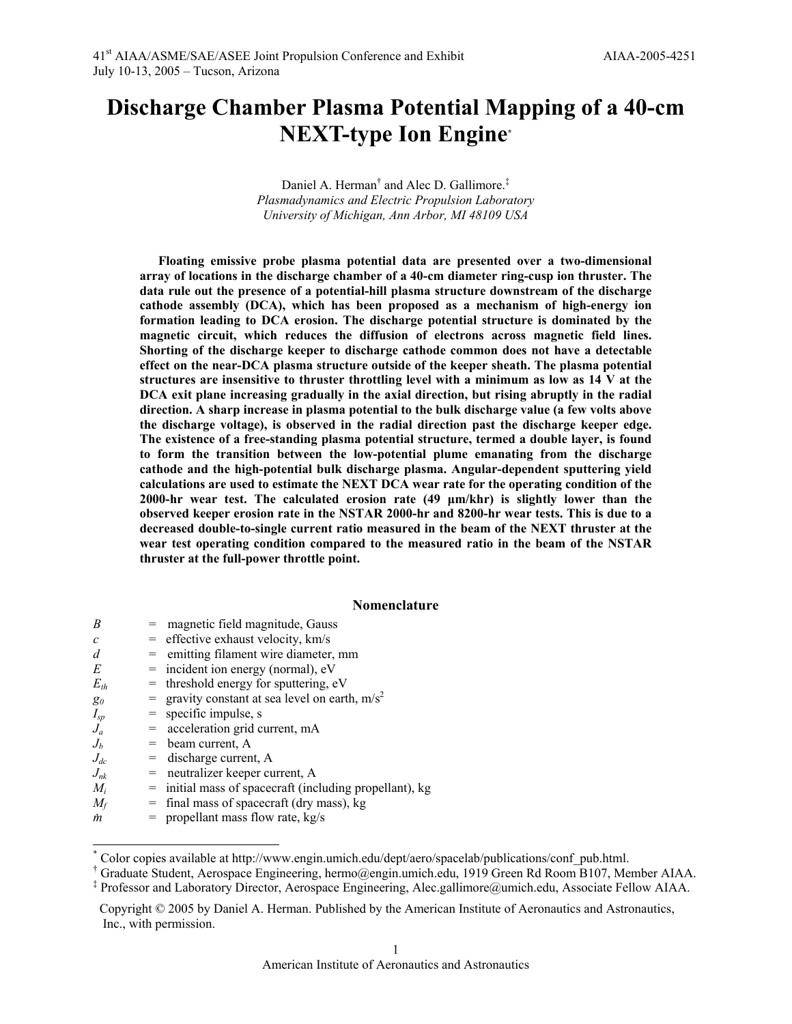# **Discharge Chamber Plasma Potential Mapping of a 40-cm NEXT-type Ion Engine\***

Daniel A. Herman<sup>†</sup> and Alec D. Gallimore.<sup>‡</sup> *Plasmadynamics and Electric Propulsion Laboratory University of Michigan, Ann Arbor, MI 48109 USA* 

**Floating emissive probe plasma potential data are presented over a two-dimensional array of locations in the discharge chamber of a 40-cm diameter ring-cusp ion thruster. The data rule out the presence of a potential-hill plasma structure downstream of the discharge cathode assembly (DCA), which has been proposed as a mechanism of high-energy ion formation leading to DCA erosion. The discharge potential structure is dominated by the magnetic circuit, which reduces the diffusion of electrons across magnetic field lines. Shorting of the discharge keeper to discharge cathode common does not have a detectable effect on the near-DCA plasma structure outside of the keeper sheath. The plasma potential structures are insensitive to thruster throttling level with a minimum as low as 14 V at the DCA exit plane increasing gradually in the axial direction, but rising abruptly in the radial direction. A sharp increase in plasma potential to the bulk discharge value (a few volts above the discharge voltage), is observed in the radial direction past the discharge keeper edge. The existence of a free-standing plasma potential structure, termed a double layer, is found to form the transition between the low-potential plume emanating from the discharge cathode and the high-potential bulk discharge plasma. Angular-dependent sputtering yield calculations are used to estimate the NEXT DCA wear rate for the operating condition of the 2000-hr wear test. The calculated erosion rate (49 µm/khr) is slightly lower than the observed keeper erosion rate in the NSTAR 2000-hr and 8200-hr wear tests. This is due to a decreased double-to-single current ratio measured in the beam of the NEXT thruster at the wear test operating condition compared to the measured ratio in the beam of the NSTAR thruster at the full-power throttle point.** 

# **Nomenclature**

| B             | magnetic field magnitude, Gauss                           |
|---------------|-----------------------------------------------------------|
| $\mathcal{C}$ | $=$ effective exhaust velocity, km/s                      |
| d             | = emitting filament wire diameter, mm                     |
| E             | $=$ incident ion energy (normal), eV                      |
| $E_{th}$      | = threshold energy for sputtering, eV                     |
| $g_0$         | = gravity constant at sea level on earth, $m/s^2$         |
| $I_{sp}$      | $=$ specific impulse, s                                   |
| $J_a$         | $=$ acceleration grid current, mA                         |
| $J_b$         | $=$ beam current, A                                       |
| $J_{dc}$      | $=$ discharge current, A                                  |
| $J_{nk}$      | $=$ neutralizer keeper current, A                         |
| $M_i$         | $=$ initial mass of spacecraft (including propellant), kg |
| $M_f$         | $=$ final mass of spacecraft (dry mass), kg               |
| m             | $=$ propellant mass flow rate, kg/s                       |

-

<sup>\*</sup> Color copies available at http://www.engin.umich.edu/dept/aero/spacelab/publications/conf\_pub.html.

<sup>†</sup> Graduate Student, Aerospace Engineering, hermo@engin.umich.edu, 1919 Green Rd Room B107, Member AIAA.

<sup>‡</sup> Professor and Laboratory Director, Aerospace Engineering, Alec.gallimore@umich.edu, Associate Fellow AIAA.

Copyright © 2005 by Daniel A. Herman. Published by the American Institute of Aeronautics and Astronautics, Inc., with permission.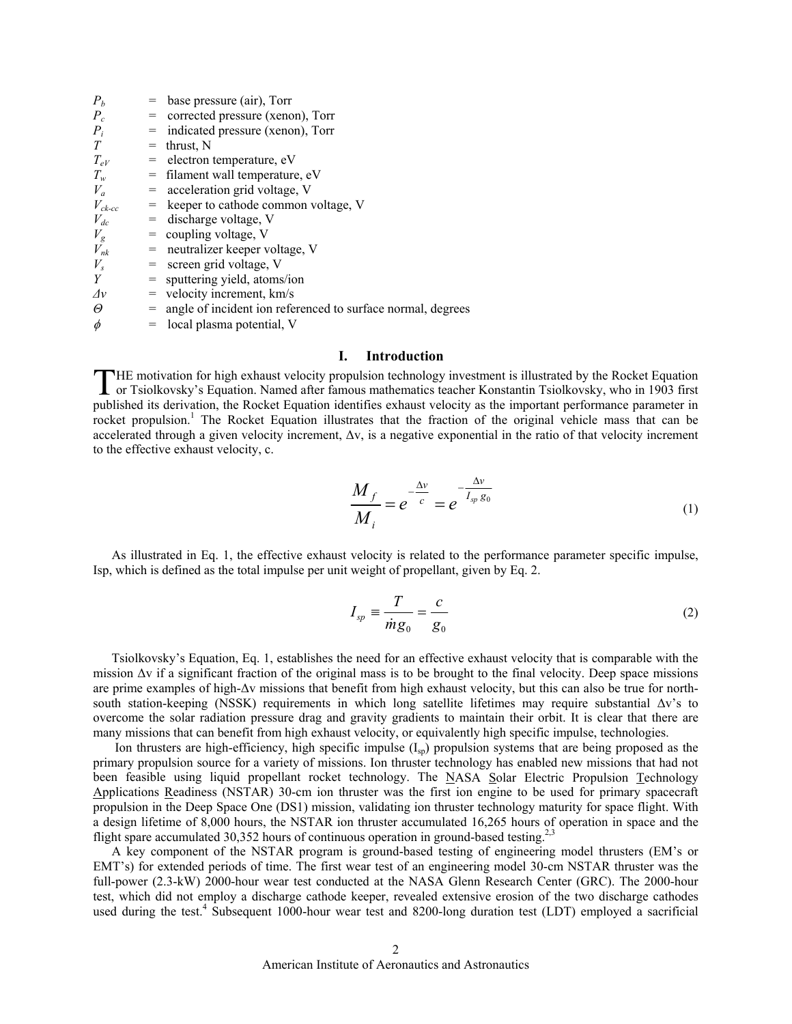| $P_b$       |     | $=$ base pressure (air), Torr                                 |
|-------------|-----|---------------------------------------------------------------|
| $P_c$       |     | $=$ corrected pressure (xenon), Torr                          |
| $P_i$       | $=$ | indicated pressure (xenon), Torr                              |
| T           | $=$ | thrust, N                                                     |
| $T_{eV}$    |     | $=$ electron temperature, eV                                  |
| $T_w$       |     | $=$ filament wall temperature, eV                             |
| $V_a$       |     | $=$ acceleration grid voltage, V                              |
| $V_{ck-cc}$ |     | $=$ keeper to cathode common voltage, V                       |
| $V_{dc}$    |     | $=$ discharge voltage, V                                      |
| $V_{\rm g}$ |     | $=$ coupling voltage, V                                       |
| $V_{nk}$    |     | $=$ neutralizer keeper voltage, V                             |
| $V_{s}$     |     | $=$ screen grid voltage, V                                    |
| Y           |     | = sputtering yield, atoms/ion                                 |
| $\Delta v$  |     | = velocity increment, km/s                                    |
| $\Theta$    |     | = angle of incident ion referenced to surface normal, degrees |
| $\phi$      |     | $=$ local plasma potential, V                                 |

## **I. Introduction**

THE motivation for high exhaust velocity propulsion technology investment is illustrated by the Rocket Equation or Tsiolkovsky's Equation. Named after famous mathematics teacher Konstantin Tsiolkovsky, who in 1903 first or Tsiolkovsky's Equation. Named after famous mathematics teacher Konstantin Tsiolkovsky, who in 1903 first published its derivation, the Rocket Equation identifies exhaust velocity as the important performance parameter in rocket propulsion.<sup>1</sup> The Rocket Equation illustrates that the fraction of the original vehicle mass that can be accelerated through a given velocity increment, ∆v, is a negative exponential in the ratio of that velocity increment to the effective exhaust velocity, c.

$$
\frac{M_f}{M_i} = e^{-\frac{\Delta v}{c}} = e^{-\frac{\Delta v}{I_{sp}g_0}}
$$
\n(1)

As illustrated in Eq. 1, the effective exhaust velocity is related to the performance parameter specific impulse, Isp, which is defined as the total impulse per unit weight of propellant, given by Eq. 2.

$$
I_{sp} \equiv \frac{T}{mg_0} = \frac{c}{g_0} \tag{2}
$$

Tsiolkovsky's Equation, Eq. 1, establishes the need for an effective exhaust velocity that is comparable with the mission ∆v if a significant fraction of the original mass is to be brought to the final velocity. Deep space missions are prime examples of high-∆v missions that benefit from high exhaust velocity, but this can also be true for northsouth station-keeping (NSSK) requirements in which long satellite lifetimes may require substantial ∆v's to overcome the solar radiation pressure drag and gravity gradients to maintain their orbit. It is clear that there are many missions that can benefit from high exhaust velocity, or equivalently high specific impulse, technologies.

Ion thrusters are high-efficiency, high specific impulse  $(I_{\rm SD})$  propulsion systems that are being proposed as the primary propulsion source for a variety of missions. Ion thruster technology has enabled new missions that had not been feasible using liquid propellant rocket technology. The NASA Solar Electric Propulsion Technology Applications Readiness (NSTAR) 30-cm ion thruster was the first ion engine to be used for primary spacecraft propulsion in the Deep Space One (DS1) mission, validating ion thruster technology maturity for space flight. With a design lifetime of 8,000 hours, the NSTAR ion thruster accumulated 16,265 hours of operation in space and the flight spare accumulated 30,352 hours of continuous operation in ground-based testing.<sup>2,3</sup>

A key component of the NSTAR program is ground-based testing of engineering model thrusters (EM's or EMT's) for extended periods of time. The first wear test of an engineering model 30-cm NSTAR thruster was the full-power (2.3-kW) 2000-hour wear test conducted at the NASA Glenn Research Center (GRC). The 2000-hour test, which did not employ a discharge cathode keeper, revealed extensive erosion of the two discharge cathodes used during the test.<sup>4</sup> Subsequent 1000-hour wear test and 8200-long duration test (LDT) employed a sacrificial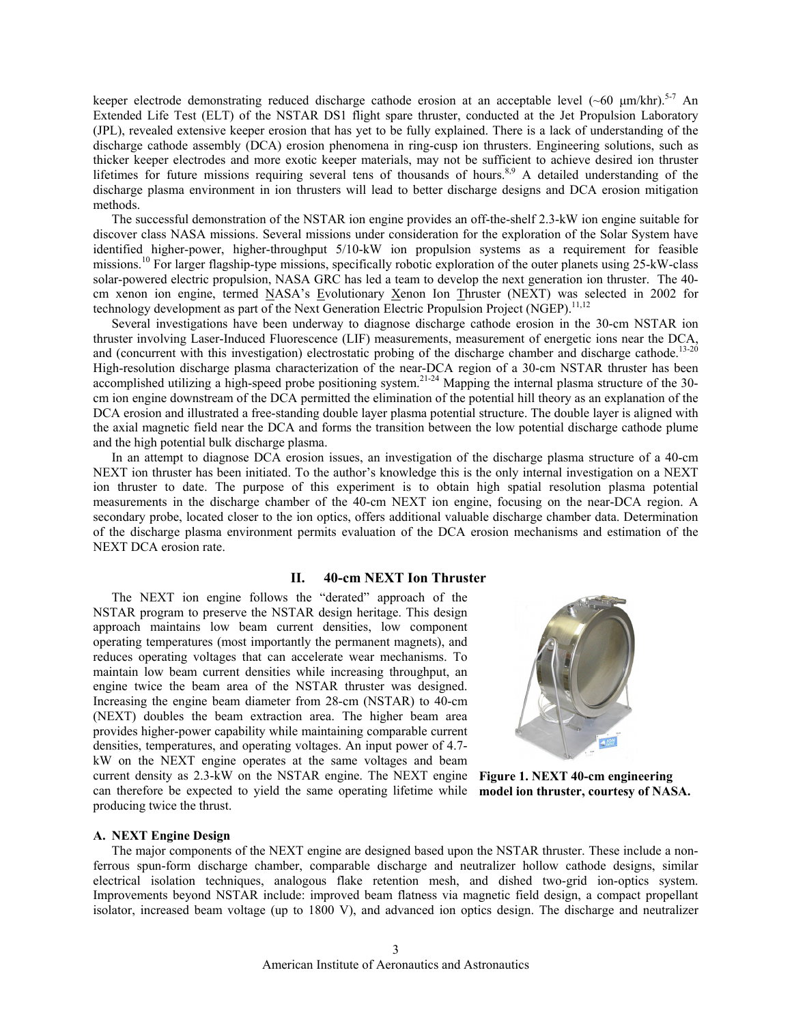keeper electrode demonstrating reduced discharge cathode erosion at an acceptable level  $({\sim}60 \mu m/khr)$ .<sup>5-7</sup> An Extended Life Test (ELT) of the NSTAR DS1 flight spare thruster, conducted at the Jet Propulsion Laboratory (JPL), revealed extensive keeper erosion that has yet to be fully explained. There is a lack of understanding of the discharge cathode assembly (DCA) erosion phenomena in ring-cusp ion thrusters. Engineering solutions, such as thicker keeper electrodes and more exotic keeper materials, may not be sufficient to achieve desired ion thruster lifetimes for future missions requiring several tens of thousands of hours.<sup>8,9</sup> A detailed understanding of the discharge plasma environment in ion thrusters will lead to better discharge designs and DCA erosion mitigation methods.

The successful demonstration of the NSTAR ion engine provides an off-the-shelf 2.3-kW ion engine suitable for discover class NASA missions. Several missions under consideration for the exploration of the Solar System have identified higher-power, higher-throughput 5/10-kW ion propulsion systems as a requirement for feasible missions.<sup>10</sup> For larger flagship-type missions, specifically robotic exploration of the outer planets using 25-kW-class solar-powered electric propulsion, NASA GRC has led a team to develop the next generation ion thruster. The 40 cm xenon ion engine, termed NASA's Evolutionary Xenon Ion Thruster (NEXT) was selected in 2002 for technology development as part of the Next Generation Electric Propulsion Project (NGEP).<sup>11,12</sup>

Several investigations have been underway to diagnose discharge cathode erosion in the 30-cm NSTAR ion thruster involving Laser-Induced Fluorescence (LIF) measurements, measurement of energetic ions near the DCA, and (concurrent with this investigation) electrostatic probing of the discharge chamber and discharge cathode.<sup>13-20</sup> High-resolution discharge plasma characterization of the near-DCA region of a 30-cm NSTAR thruster has been accomplished utilizing a high-speed probe positioning system.<sup>21-24</sup> Mapping the internal plasma structure of the 30-<br>accomplished utilizing a high-speed probe positioning system.<sup>21-24</sup> Mapping the internal plasma structu cm ion engine downstream of the DCA permitted the elimination of the potential hill theory as an explanation of the DCA erosion and illustrated a free-standing double layer plasma potential structure. The double layer is aligned with the axial magnetic field near the DCA and forms the transition between the low potential discharge cathode plume and the high potential bulk discharge plasma.

In an attempt to diagnose DCA erosion issues, an investigation of the discharge plasma structure of a 40-cm NEXT ion thruster has been initiated. To the author's knowledge this is the only internal investigation on a NEXT ion thruster to date. The purpose of this experiment is to obtain high spatial resolution plasma potential measurements in the discharge chamber of the 40-cm NEXT ion engine, focusing on the near-DCA region. A secondary probe, located closer to the ion optics, offers additional valuable discharge chamber data. Determination of the discharge plasma environment permits evaluation of the DCA erosion mechanisms and estimation of the NEXT DCA erosion rate.

#### **II. 40-cm NEXT Ion Thruster**

The NEXT ion engine follows the "derated" approach of the NSTAR program to preserve the NSTAR design heritage. This design approach maintains low beam current densities, low component operating temperatures (most importantly the permanent magnets), and reduces operating voltages that can accelerate wear mechanisms. To maintain low beam current densities while increasing throughput, an engine twice the beam area of the NSTAR thruster was designed. Increasing the engine beam diameter from 28-cm (NSTAR) to 40-cm (NEXT) doubles the beam extraction area. The higher beam area provides higher-power capability while maintaining comparable current densities, temperatures, and operating voltages. An input power of 4.7 kW on the NEXT engine operates at the same voltages and beam current density as 2.3-kW on the NSTAR engine. The NEXT engine **Figure 1. NEXT 40-cm engineering**  can therefore be expected to yield the same operating lifetime while **model ion thruster, courtesy of NASA.**



#### **A. NEXT Engine Design**

producing twice the thrust.

The major components of the NEXT engine are designed based upon the NSTAR thruster. These include a nonferrous spun-form discharge chamber, comparable discharge and neutralizer hollow cathode designs, similar electrical isolation techniques, analogous flake retention mesh, and dished two-grid ion-optics system. Improvements beyond NSTAR include: improved beam flatness via magnetic field design, a compact propellant isolator, increased beam voltage (up to 1800 V), and advanced ion optics design. The discharge and neutralizer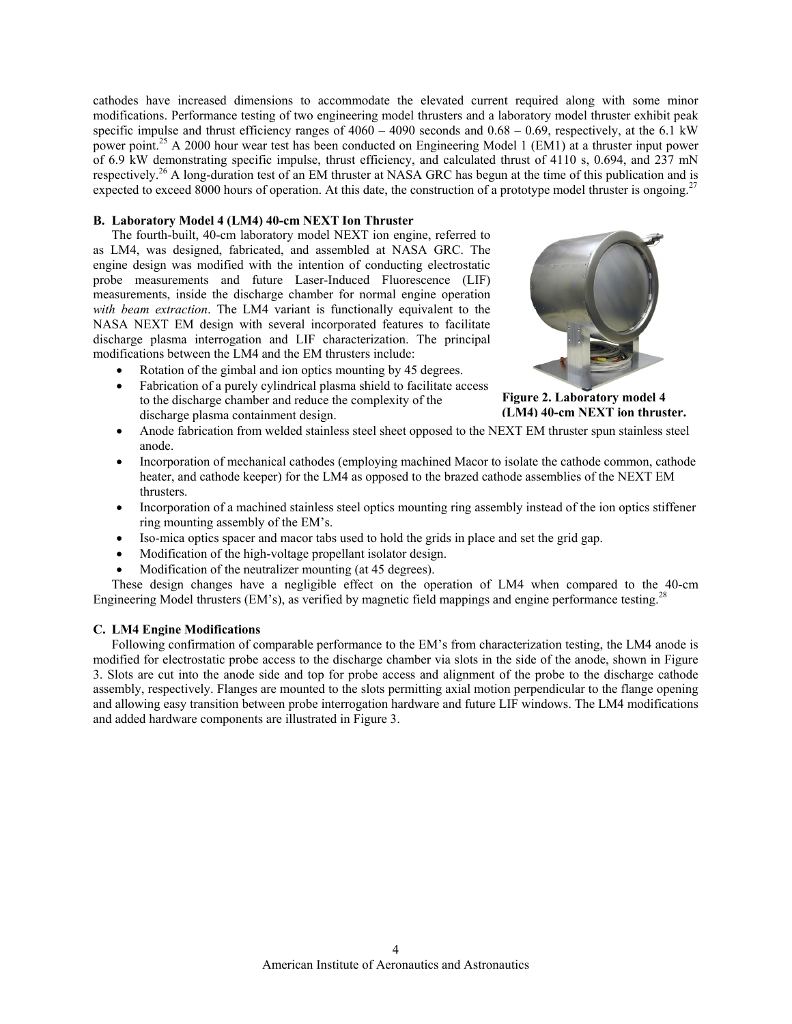cathodes have increased dimensions to accommodate the elevated current required along with some minor modifications. Performance testing of two engineering model thrusters and a laboratory model thruster exhibit peak specific impulse and thrust efficiency ranges of  $4060 - 4090$  seconds and  $0.68 - 0.69$ , respectively, at the 6.1 kW power point.25 A 2000 hour wear test has been conducted on Engineering Model 1 (EM1) at a thruster input power of 6.9 kW demonstrating specific impulse, thrust efficiency, and calculated thrust of 4110 s, 0.694, and 237 mN respectively.<sup>26</sup> A long-duration test of an EM thruster at NASA GRC has begun at the time of this publication and is expected to exceed 8000 hours of operation. At this date, the construction of a prototype model thruster is ongoing.<sup>27</sup>

# **B. Laboratory Model 4 (LM4) 40-cm NEXT Ion Thruster**

The fourth-built, 40-cm laboratory model NEXT ion engine, referred to as LM4, was designed, fabricated, and assembled at NASA GRC. The engine design was modified with the intention of conducting electrostatic probe measurements and future Laser-Induced Fluorescence (LIF) measurements, inside the discharge chamber for normal engine operation *with beam extraction*. The LM4 variant is functionally equivalent to the NASA NEXT EM design with several incorporated features to facilitate discharge plasma interrogation and LIF characterization. The principal modifications between the LM4 and the EM thrusters include:



**Figure 2. Laboratory model 4 (LM4) 40-cm NEXT ion thruster.**

- Fabrication of a purely cylindrical plasma shield to facilitate access
- to the discharge chamber and reduce the complexity of the discharge plasma containment design.
- Anode fabrication from welded stainless steel sheet opposed to the NEXT EM thruster spun stainless steel anode.
- Incorporation of mechanical cathodes (employing machined Macor to isolate the cathode common, cathode heater, and cathode keeper) for the LM4 as opposed to the brazed cathode assemblies of the NEXT EM thrusters.
- Incorporation of a machined stainless steel optics mounting ring assembly instead of the ion optics stiffener ring mounting assembly of the EM's.
- Iso-mica optics spacer and macor tabs used to hold the grids in place and set the grid gap.
- Modification of the high-voltage propellant isolator design.
- Modification of the neutralizer mounting (at 45 degrees).

These design changes have a negligible effect on the operation of LM4 when compared to the 40-cm Engineering Model thrusters (EM's), as verified by magnetic field mappings and engine performance testing.<sup>28</sup>

## **C. LM4 Engine Modifications**

Following confirmation of comparable performance to the EM's from characterization testing, the LM4 anode is modified for electrostatic probe access to the discharge chamber via slots in the side of the anode, shown in Figure 3. Slots are cut into the anode side and top for probe access and alignment of the probe to the discharge cathode assembly, respectively. Flanges are mounted to the slots permitting axial motion perpendicular to the flange opening and allowing easy transition between probe interrogation hardware and future LIF windows. The LM4 modifications and added hardware components are illustrated in Figure 3.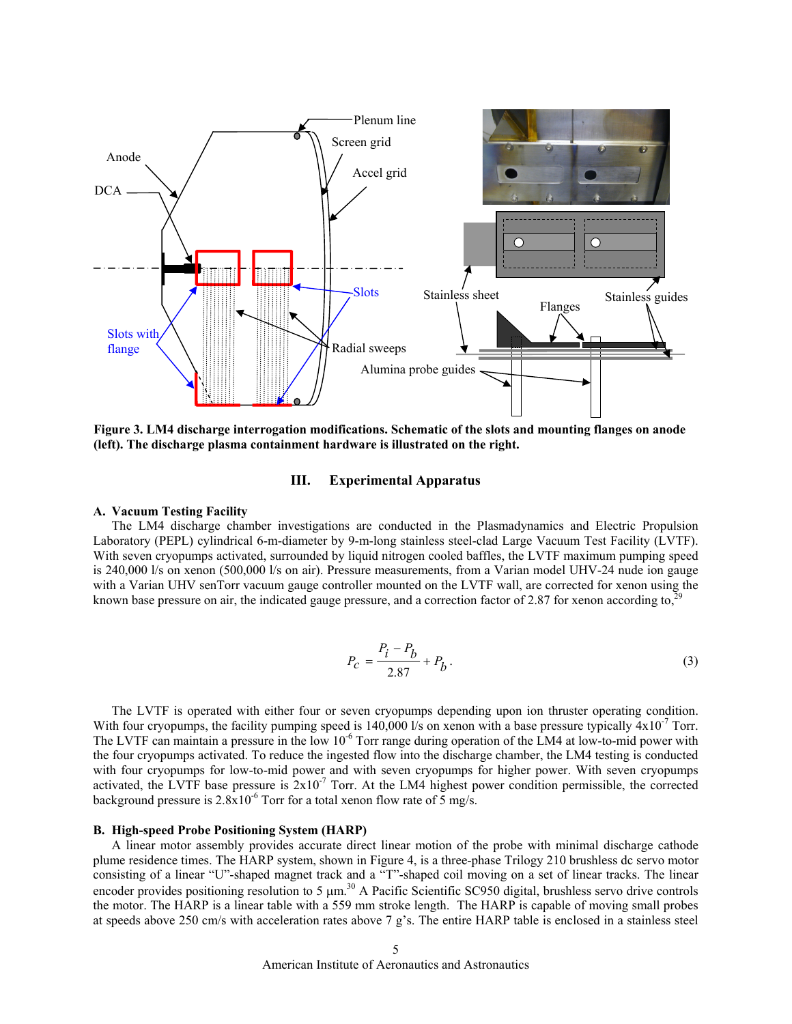

**Figure 3. LM4 discharge interrogation modifications. Schematic of the slots and mounting flanges on anode (left). The discharge plasma containment hardware is illustrated on the right.** 

#### **III. Experimental Apparatus**

#### **A. Vacuum Testing Facility**

The LM4 discharge chamber investigations are conducted in the Plasmadynamics and Electric Propulsion Laboratory (PEPL) cylindrical 6-m-diameter by 9-m-long stainless steel-clad Large Vacuum Test Facility (LVTF). With seven cryopumps activated, surrounded by liquid nitrogen cooled baffles, the LVTF maximum pumping speed is 240,000 l/s on xenon (500,000 l/s on air). Pressure measurements, from a Varian model UHV-24 nude ion gauge with a Varian UHV senTorr vacuum gauge controller mounted on the LVTF wall, are corrected for xenon using the known base pressure on air, the indicated gauge pressure, and a correction factor of 2.87 for xenon according to.<sup>2</sup>

$$
P_c = \frac{P_i - P_b}{2.87} + P_b.
$$
 (3)

The LVTF is operated with either four or seven cryopumps depending upon ion thruster operating condition. With four cryopumps, the facility pumping speed is 140,000 l/s on xenon with a base pressure typically  $4x10^{-7}$  Torr. The LVTF can maintain a pressure in the low  $10^{-6}$  Torr range during operation of the LM4 at low-to-mid power with the four cryopumps activated. To reduce the ingested flow into the discharge chamber, the LM4 testing is conducted with four cryopumps for low-to-mid power and with seven cryopumps for higher power. With seven cryopumps activated, the LVTF base pressure is  $2x10^{-7}$  Torr. At the LM4 highest power condition permissible, the corrected background pressure is  $2.8x10^{-6}$  Torr for a total xenon flow rate of 5 mg/s.

## **B. High-speed Probe Positioning System (HARP)**

A linear motor assembly provides accurate direct linear motion of the probe with minimal discharge cathode plume residence times. The HARP system, shown in Figure 4, is a three-phase Trilogy 210 brushless dc servo motor consisting of a linear "U"-shaped magnet track and a "T"-shaped coil moving on a set of linear tracks. The linear encoder provides positioning resolution to 5  $\mu$ m.<sup>30</sup> A Pacific Scientific SC950 digital, brushless servo drive controls the motor. The HARP is a linear table with a 559 mm stroke length. The HARP is capable of moving small probes at speeds above 250 cm/s with acceleration rates above 7 g's. The entire HARP table is enclosed in a stainless steel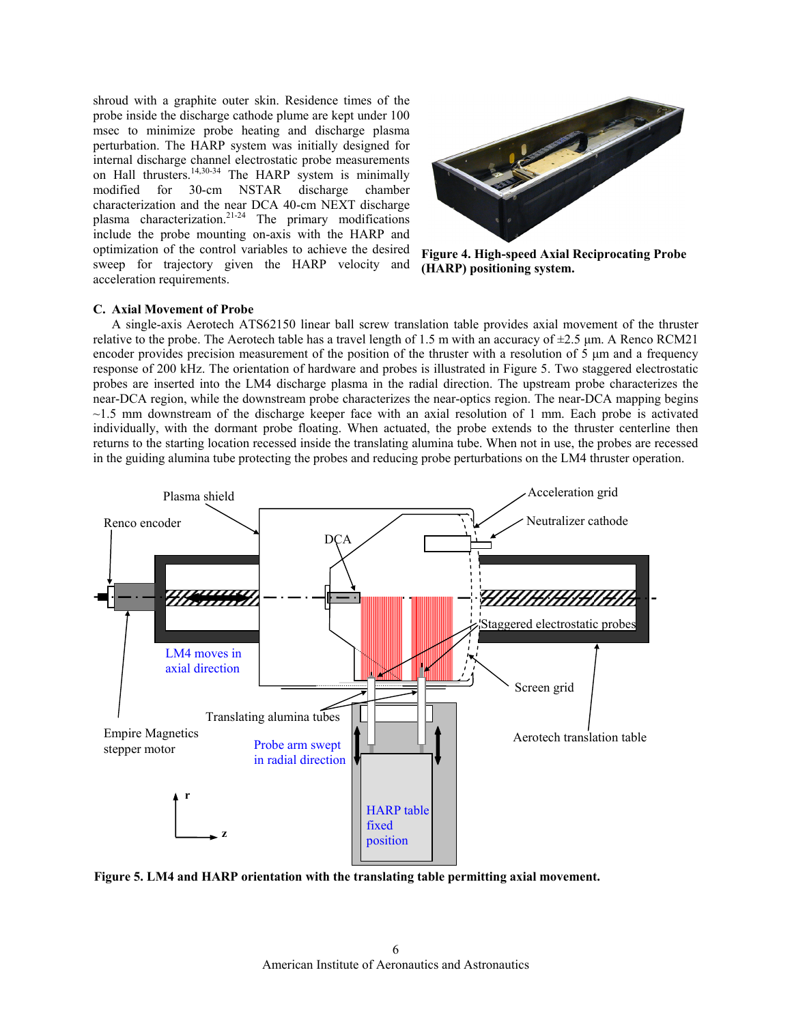shroud with a graphite outer skin. Residence times of the probe inside the discharge cathode plume are kept under 100 msec to minimize probe heating and discharge plasma perturbation. The HARP system was initially designed for internal discharge channel electrostatic probe measurements on Hall thrusters.<sup>14,30-34</sup> The HARP system is minimally modified for 30-cm NSTAR discharge chamber characterization and the near DCA 40-cm NEXT discharge plasma characterization.<sup>21-24</sup> The primary modifications include the probe mounting on-axis with the HARP and optimization of the control variables to achieve the desired sweep for trajectory given the HARP velocity and acceleration requirements.



**Figure 4. High-speed Axial Reciprocating Probe (HARP) positioning system.** 

## **C. Axial Movement of Probe**

A single-axis Aerotech ATS62150 linear ball screw translation table provides axial movement of the thruster relative to the probe. The Aerotech table has a travel length of 1.5 m with an accuracy of  $\pm$ 2.5 µm. A Renco RCM21 encoder provides precision measurement of the position of the thruster with a resolution of  $5 \mu m$  and a frequency response of 200 kHz. The orientation of hardware and probes is illustrated in Figure 5. Two staggered electrostatic probes are inserted into the LM4 discharge plasma in the radial direction. The upstream probe characterizes the near-DCA region, while the downstream probe characterizes the near-optics region. The near-DCA mapping begins  $\sim$ 1.5 mm downstream of the discharge keeper face with an axial resolution of 1 mm. Each probe is activated individually, with the dormant probe floating. When actuated, the probe extends to the thruster centerline then returns to the starting location recessed inside the translating alumina tube. When not in use, the probes are recessed in the guiding alumina tube protecting the probes and reducing probe perturbations on the LM4 thruster operation.



**Figure 5. LM4 and HARP orientation with the translating table permitting axial movement.**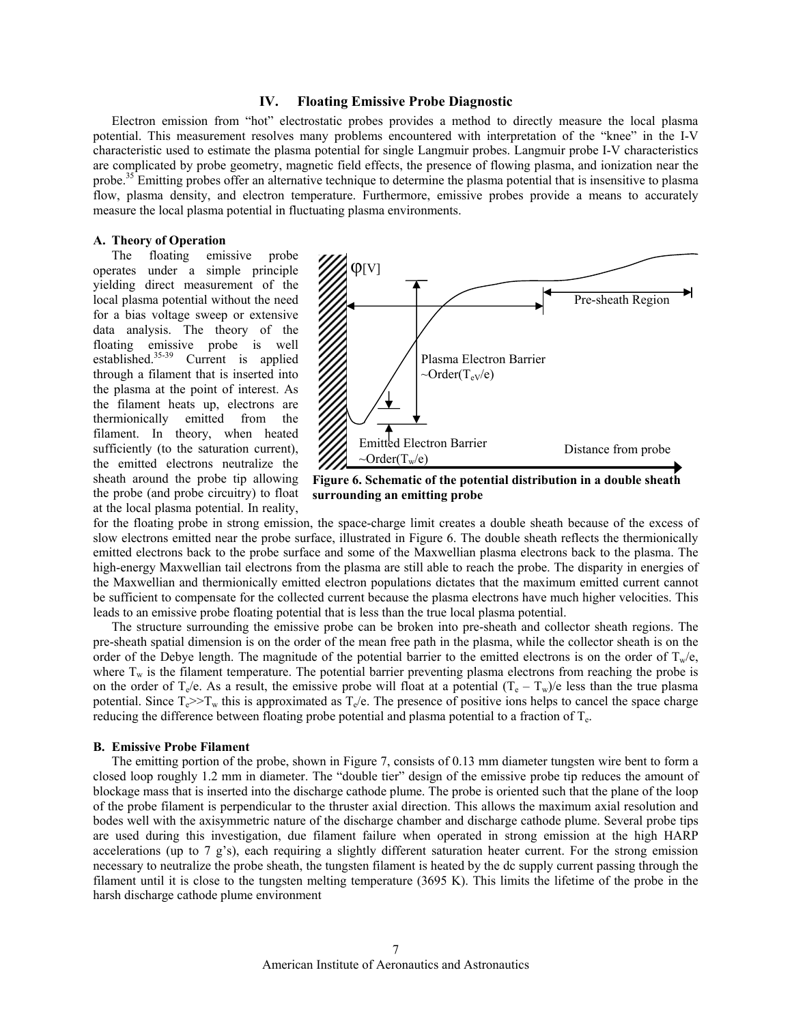#### **IV. Floating Emissive Probe Diagnostic**

Electron emission from "hot" electrostatic probes provides a method to directly measure the local plasma potential. This measurement resolves many problems encountered with interpretation of the "knee" in the I-V characteristic used to estimate the plasma potential for single Langmuir probes. Langmuir probe I-V characteristics are complicated by probe geometry, magnetic field effects, the presence of flowing plasma, and ionization near the probe.<sup>35</sup> Emitting probes offer an alternative technique to determine the plasma potential that is insensitive to plasma flow, plasma density, and electron temperature. Furthermore, emissive probes provide a means to accurately measure the local plasma potential in fluctuating plasma environments.

#### **A. Theory of Operation**

The floating emissive probe operates under a simple principle yielding direct measurement of the local plasma potential without the need for a bias voltage sweep or extensive data analysis. The theory of the floating emissive probe is well established.35-39 Current is applied through a filament that is inserted into the plasma at the point of interest. As the filament heats up, electrons are thermionically emitted from the filament. In theory, when heated sufficiently (to the saturation current), the emitted electrons neutralize the sheath around the probe tip allowing the probe (and probe circuitry) to float at the local plasma potential. In reality,



**Figure 6. Schematic of the potential distribution in a double sheath surrounding an emitting probe** 

for the floating probe in strong emission, the space-charge limit creates a double sheath because of the excess of slow electrons emitted near the probe surface, illustrated in Figure 6. The double sheath reflects the thermionically emitted electrons back to the probe surface and some of the Maxwellian plasma electrons back to the plasma. The high-energy Maxwellian tail electrons from the plasma are still able to reach the probe. The disparity in energies of the Maxwellian and thermionically emitted electron populations dictates that the maximum emitted current cannot be sufficient to compensate for the collected current because the plasma electrons have much higher velocities. This leads to an emissive probe floating potential that is less than the true local plasma potential.

The structure surrounding the emissive probe can be broken into pre-sheath and collector sheath regions. The pre-sheath spatial dimension is on the order of the mean free path in the plasma, while the collector sheath is on the order of the Debye length. The magnitude of the potential barrier to the emitted electrons is on the order of  $T_w/e$ , where  $T_w$  is the filament temperature. The potential barrier preventing plasma electrons from reaching the probe is on the order of  $T_e/e$ . As a result, the emissive probe will float at a potential  $(T_e - T_w)/e$  less than the true plasma potential. Since  $T_e \gg T_w$  this is approximated as  $T_e/e$ . The presence of positive ions helps to cancel the space charge reducing the difference between floating probe potential and plasma potential to a fraction of Te.

#### **B. Emissive Probe Filament**

The emitting portion of the probe, shown in Figure 7, consists of 0.13 mm diameter tungsten wire bent to form a closed loop roughly 1.2 mm in diameter. The "double tier" design of the emissive probe tip reduces the amount of blockage mass that is inserted into the discharge cathode plume. The probe is oriented such that the plane of the loop of the probe filament is perpendicular to the thruster axial direction. This allows the maximum axial resolution and bodes well with the axisymmetric nature of the discharge chamber and discharge cathode plume. Several probe tips are used during this investigation, due filament failure when operated in strong emission at the high HARP accelerations (up to 7 g's), each requiring a slightly different saturation heater current. For the strong emission necessary to neutralize the probe sheath, the tungsten filament is heated by the dc supply current passing through the filament until it is close to the tungsten melting temperature (3695 K). This limits the lifetime of the probe in the harsh discharge cathode plume environment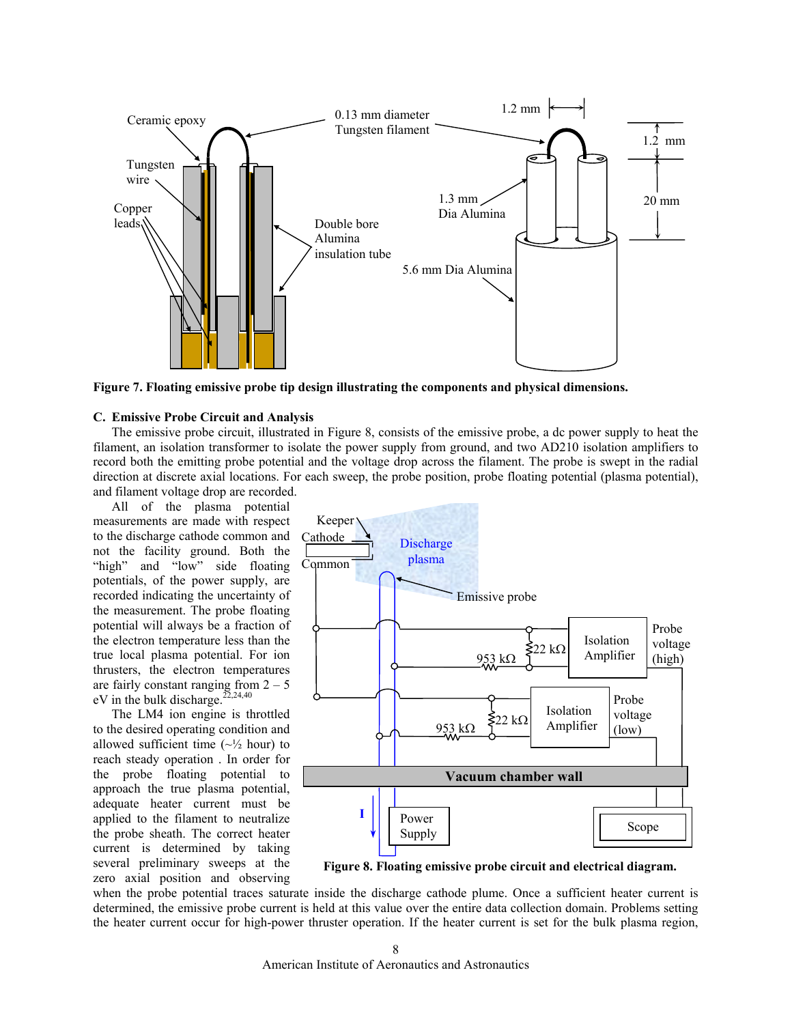

**Figure 7. Floating emissive probe tip design illustrating the components and physical dimensions.** 

## **C. Emissive Probe Circuit and Analysis**

The emissive probe circuit, illustrated in Figure 8, consists of the emissive probe, a dc power supply to heat the filament, an isolation transformer to isolate the power supply from ground, and two AD210 isolation amplifiers to record both the emitting probe potential and the voltage drop across the filament. The probe is swept in the radial direction at discrete axial locations. For each sweep, the probe position, probe floating potential (plasma potential), and filament voltage drop are recorded.

All of the plasma potential measurements are made with respect to the discharge cathode common and not the facility ground. Both the "high" and "low" side floating potentials, of the power supply, are recorded indicating the uncertainty of the measurement. The probe floating potential will always be a fraction of the electron temperature less than the true local plasma potential. For ion thrusters, the electron temperatures are fairly constant ranging from  $2 - 5$ eV in the bulk discharge.<sup>22,24,40</sup>

The LM4 ion engine is throttled to the desired operating condition and allowed sufficient time  $(\sim \frac{1}{2}$  hour) to reach steady operation . In order for the probe floating potential to approach the true plasma potential, adequate heater current must be applied to the filament to neutralize the probe sheath. The correct heater current is determined by taking several preliminary sweeps at the zero axial position and observing



**Figure 8. Floating emissive probe circuit and electrical diagram.** 

when the probe potential traces saturate inside the discharge cathode plume. Once a sufficient heater current is determined, the emissive probe current is held at this value over the entire data collection domain. Problems setting the heater current occur for high-power thruster operation. If the heater current is set for the bulk plasma region,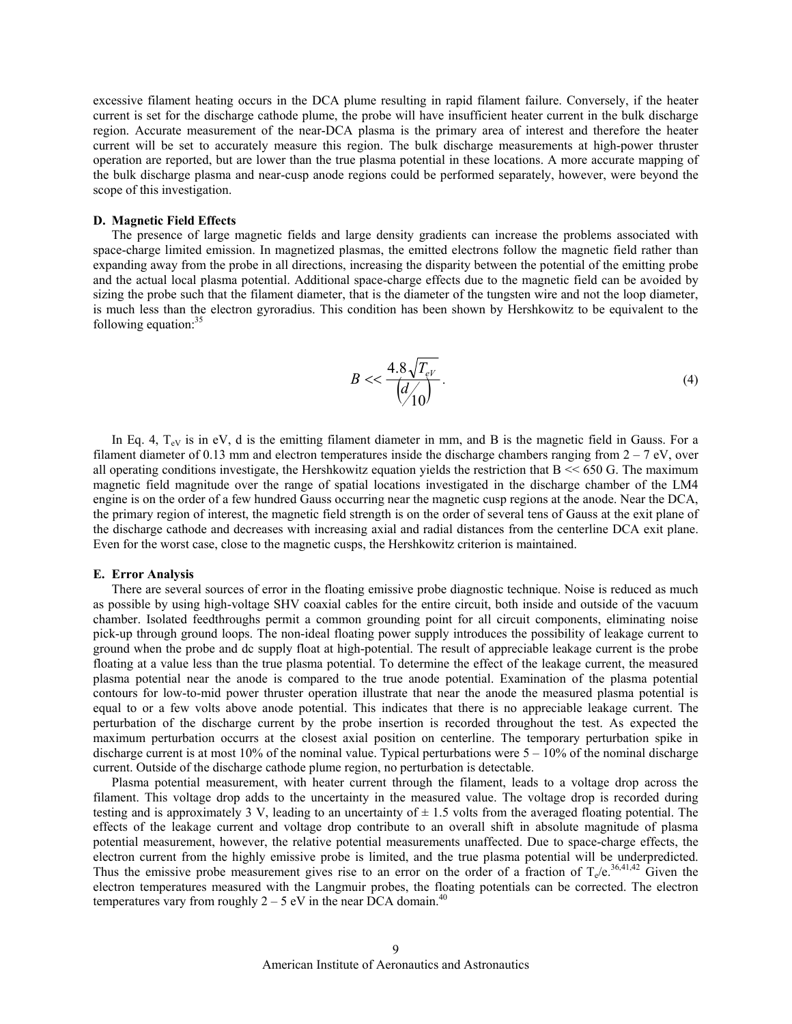excessive filament heating occurs in the DCA plume resulting in rapid filament failure. Conversely, if the heater current is set for the discharge cathode plume, the probe will have insufficient heater current in the bulk discharge region. Accurate measurement of the near-DCA plasma is the primary area of interest and therefore the heater current will be set to accurately measure this region. The bulk discharge measurements at high-power thruster operation are reported, but are lower than the true plasma potential in these locations. A more accurate mapping of the bulk discharge plasma and near-cusp anode regions could be performed separately, however, were beyond the scope of this investigation.

## **D. Magnetic Field Effects**

The presence of large magnetic fields and large density gradients can increase the problems associated with space-charge limited emission. In magnetized plasmas, the emitted electrons follow the magnetic field rather than expanding away from the probe in all directions, increasing the disparity between the potential of the emitting probe and the actual local plasma potential. Additional space-charge effects due to the magnetic field can be avoided by sizing the probe such that the filament diameter, that is the diameter of the tungsten wire and not the loop diameter, is much less than the electron gyroradius. This condition has been shown by Hershkowitz to be equivalent to the following equation:35

$$
B \ll \frac{4.8\sqrt{T_{eV}}}{\left(\frac{d}{10}\right)}\tag{4}
$$

In Eq. 4,  $T_{eV}$  is in eV, d is the emitting filament diameter in mm, and B is the magnetic field in Gauss. For a filament diameter of 0.13 mm and electron temperatures inside the discharge chambers ranging from  $2 - 7$  eV, over all operating conditions investigate, the Hershkowitz equation yields the restriction that  $B \ll 650$  G. The maximum magnetic field magnitude over the range of spatial locations investigated in the discharge chamber of the LM4 engine is on the order of a few hundred Gauss occurring near the magnetic cusp regions at the anode. Near the DCA, the primary region of interest, the magnetic field strength is on the order of several tens of Gauss at the exit plane of the discharge cathode and decreases with increasing axial and radial distances from the centerline DCA exit plane. Even for the worst case, close to the magnetic cusps, the Hershkowitz criterion is maintained.

#### **E. Error Analysis**

There are several sources of error in the floating emissive probe diagnostic technique. Noise is reduced as much as possible by using high-voltage SHV coaxial cables for the entire circuit, both inside and outside of the vacuum chamber. Isolated feedthroughs permit a common grounding point for all circuit components, eliminating noise pick-up through ground loops. The non-ideal floating power supply introduces the possibility of leakage current to ground when the probe and dc supply float at high-potential. The result of appreciable leakage current is the probe floating at a value less than the true plasma potential. To determine the effect of the leakage current, the measured plasma potential near the anode is compared to the true anode potential. Examination of the plasma potential contours for low-to-mid power thruster operation illustrate that near the anode the measured plasma potential is equal to or a few volts above anode potential. This indicates that there is no appreciable leakage current. The perturbation of the discharge current by the probe insertion is recorded throughout the test. As expected the maximum perturbation occurrs at the closest axial position on centerline. The temporary perturbation spike in discharge current is at most 10% of the nominal value. Typical perturbations were  $5 - 10\%$  of the nominal discharge current. Outside of the discharge cathode plume region, no perturbation is detectable.

Plasma potential measurement, with heater current through the filament, leads to a voltage drop across the filament. This voltage drop adds to the uncertainty in the measured value. The voltage drop is recorded during testing and is approximately 3 V, leading to an uncertainty of  $\pm$  1.5 volts from the averaged floating potential. The effects of the leakage current and voltage drop contribute to an overall shift in absolute magnitude of plasma potential measurement, however, the relative potential measurements unaffected. Due to space-charge effects, the electron current from the highly emissive probe is limited, and the true plasma potential will be underpredicted. Thus the emissive probe measurement gives rise to an error on the order of a fraction of  $T_e/e^{36,41,42}$  Given the electron temperatures measured with the Langmuir probes, the floating potentials can be corrected. The electron temperatures vary from roughly  $2 - 5$  eV in the near DCA domain.<sup>40</sup>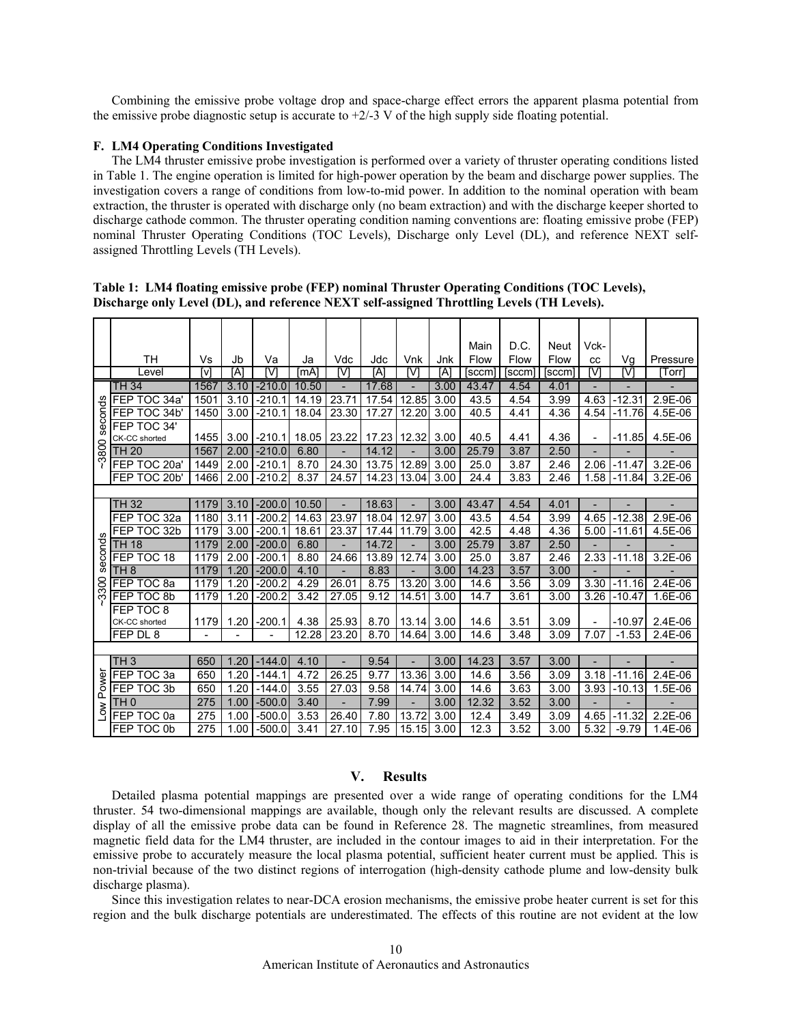Combining the emissive probe voltage drop and space-charge effect errors the apparent plasma potential from the emissive probe diagnostic setup is accurate to  $+2/-3$  V of the high supply side floating potential.

### **F. LM4 Operating Conditions Investigated**

The LM4 thruster emissive probe investigation is performed over a variety of thruster operating conditions listed in Table 1. The engine operation is limited for high-power operation by the beam and discharge power supplies. The investigation covers a range of conditions from low-to-mid power. In addition to the nominal operation with beam extraction, the thruster is operated with discharge only (no beam extraction) and with the discharge keeper shorted to discharge cathode common. The thruster operating condition naming conventions are: floating emissive probe (FEP) nominal Thruster Operating Conditions (TOC Levels), Discharge only Level (DL), and reference NEXT selfassigned Throttling Levels (TH Levels).

|           |                 |                          |      |                |       |             |                  |            |      | Main        | D.C.  | <b>Neut</b> | Vck-                     |                 |           |
|-----------|-----------------|--------------------------|------|----------------|-------|-------------|------------------|------------|------|-------------|-------|-------------|--------------------------|-----------------|-----------|
|           | <b>TH</b>       | Vs                       | Jb   | Va             | Ja    | Vdc         | Jdc              | <b>Vnk</b> | Jnk  | <b>Flow</b> | Flow  | Flow        | cc                       | Vq              | Pressure  |
|           | Level           | [v]                      | [A]  | ΓV1            | [mA]  | ΓVΙ         | $[\overline{A}]$ | IV1        | [A]  | [sccm]      | [sccm | [sccm]      | IV1                      | IV1             | [Torr]    |
|           | <b>TH 34</b>    | 1567                     | 3.10 | $-210.0$       | 10.50 | ٠           | 17.68            |            | 3.00 | 43.47       | 4.54  | 4.01        |                          |                 |           |
|           | FEP TOC 34a     | 1501                     | 3.10 | $-210.1$       | 14.19 | 23.71       | 17.54            | 12.85      | 3.00 | 43.5        | 4.54  | 3.99        | 4.63                     | $-12.31$        | 2.9E-06   |
| seconds   | FEP TOC 34b'    | 1450                     | 3.00 | $-210.1$       | 18.04 | 23.30       | 17.27            | 12.20      | 3.00 | 40.5        | 4.41  | 4.36        | $\overline{4.54}$        | $-11.76$        | 4.5E-06   |
|           | FEP TOC 34'     |                          |      |                |       |             |                  |            |      |             |       |             |                          |                 |           |
|           | CK-CC shorted   | 1455                     | 3.00 | $-210.1$       |       | 18.05 23.22 | 17.23            | 12.32      | 3.00 | 40.5        | 4.41  | 4.36        | $\blacksquare$           | $-11.85$        | 4.5E-06   |
| $-3800$   | <b>TH 20</b>    | 1567                     | 2.00 | $-210.0$       | 6.80  |             | 14.12            |            | 3.00 | 25.79       | 3.87  | 2.50        |                          |                 |           |
|           | FEP TOC 20a     | 1449                     | 2.00 | $-210.1$       | 8.70  | 24.30       | 13.75            | 12.89      | 3.00 | 25.0        | 3.87  | 2.46        | 2.06                     | $-11.47$        | $3.2E-06$ |
|           | FEP TOC 20b'    | 1466                     | 2.00 | $-210.2$       | 8.37  | 24.57       | 14.23            | 13.04      | 3.00 | 24.4        | 3.83  | 2.46        | 1.58                     | $-11.84$        | $3.2E-06$ |
|           |                 |                          |      |                |       |             |                  |            |      |             |       |             |                          |                 |           |
|           | <b>TH32</b>     | 1179                     | 3.10 | $-200.0$       | 10.50 |             | 18.63            |            | 3.00 | 43.47       | 4.54  | 4.01        |                          |                 |           |
|           | FEP TOC 32a     | 1180                     | 3.11 | $-200.2$       | 14.63 | 23.97       | 18.04            | 12.97      | 3.00 | 43.5        | 4.54  | 3.99        | 4.65                     | $-12.38$        | 2.9E-06   |
| <b>S</b>  | FEP TOC 32b     | 1179                     | 3.00 | $-200.1$       | 18.61 | 23.37       | 17.44            | 11.79      | 3.00 | 42.5        | 4.48  | 4.36        | 5.00                     | $-11.61$        | 4.5E-06   |
| second:   | <b>TH 18</b>    | 1179                     | 2.00 | $-200.0$       | 6.80  |             | 14.72            |            | 3.00 | 25.79       | 3.87  | 2.50        | $\overline{\phantom{a}}$ |                 |           |
|           | FEP TOC 18      | 1179                     | 2.00 | $-200.1$       | 8.80  | 24.66       | 13.89            | 12.74      | 3.00 | 25.0        | 3.87  | 2.46        | 2.33                     | $-11.18$        | $3.2E-06$ |
|           | TH <sub>8</sub> | 1179                     | 1.20 | $-200.0$       | 4.10  |             | 8.83             |            | 3.00 | 14.23       | 3.57  | 3.00        |                          |                 |           |
| 3300      | FEP TOC 8a      | 1179                     | 1.20 | $-200.2$       | 4.29  | 26.01       | 8.75             | 13.20      | 3.00 | 14.6        | 3.56  | 3.09        |                          | $3.30$ $-11.16$ | 2.4E-06   |
|           | FEP TOC 8b      | 1179                     | 1.20 | $-200.2$       | 3.42  | 27.05       | 9.12             | 14.51      | 3.00 | 14.7        | 3.61  | 3.00        | 3.26                     | $-10.47$        | 1.6E-06   |
|           | FEP TOC 8       |                          |      |                |       |             |                  |            |      |             |       |             |                          |                 |           |
|           | CK-CC shorted   | 1179                     | 1.20 | $-200.1$       | 4.38  | 25.93       | 8.70             | 13.14 3.00 |      | 14.6        | 3.51  | 3.09        | L,                       | $-10.97$        | 2.4E-06   |
|           | FEP DL 8        | $\overline{\phantom{0}}$ | Ξ.   | $\blacksquare$ | 12.28 | 23.20       | 8.70             | 14.64      | 3.00 | 14.6        | 3.48  | 3.09        | 7.07                     | $-1.53$         | $2.4E-06$ |
|           |                 |                          |      |                |       |             |                  |            |      |             |       |             |                          |                 |           |
|           | TH <sub>3</sub> | 650                      | 1.20 | $-144.0$       | 4.10  |             | 9.54             |            | 3.00 | 14.23       | 3.57  | 3.00        |                          |                 |           |
|           | FEP TOC 3a      | 650                      | 1.20 | $-144.1$       | 4.72  | 26.25       | 9.77             | 13.36      | 3.00 | 14.6        | 3.56  | 3.09        | 3.18                     | $-11.16$        | 2.4E-06   |
|           | FEP TOC 3b      | 650                      | 1.20 | $-144.0$       | 3.55  | 27.03       | 9.58             | 14.74      | 3.00 | 14.6        | 3.63  | 3.00        | 3.93                     | $-10.13$        | 1.5E-06   |
| Low Power | TH 0            | 275                      | 1.00 | $-500.0$       | 3.40  |             | 7.99             |            | 3.00 | 12.32       | 3.52  | 3.00        |                          |                 |           |
|           | FEP TOC 0a      | 275                      | 1.00 | $-500.0$       | 3.53  | 26.40       | 7.80             | 13.72      | 3.00 | 12.4        | 3.49  | 3.09        | 4.65                     | $-11.32$        | $2.2E-06$ |
|           | FEP TOC 0b      | 275                      | 1.00 | $-500.0$       | 3.41  | 27.10       | 7.95             | 15.15      | 3.00 | 12.3        | 3.52  | 3.00        | 5.32                     | $-9.79$         | $1.4E-06$ |

**Table 1: LM4 floating emissive probe (FEP) nominal Thruster Operating Conditions (TOC Levels), Discharge only Level (DL), and reference NEXT self-assigned Throttling Levels (TH Levels).** 

# **V. Results**

Detailed plasma potential mappings are presented over a wide range of operating conditions for the LM4 thruster. 54 two-dimensional mappings are available, though only the relevant results are discussed. A complete display of all the emissive probe data can be found in Reference 28. The magnetic streamlines, from measured magnetic field data for the LM4 thruster, are included in the contour images to aid in their interpretation. For the emissive probe to accurately measure the local plasma potential, sufficient heater current must be applied. This is non-trivial because of the two distinct regions of interrogation (high-density cathode plume and low-density bulk discharge plasma).

Since this investigation relates to near-DCA erosion mechanisms, the emissive probe heater current is set for this region and the bulk discharge potentials are underestimated. The effects of this routine are not evident at the low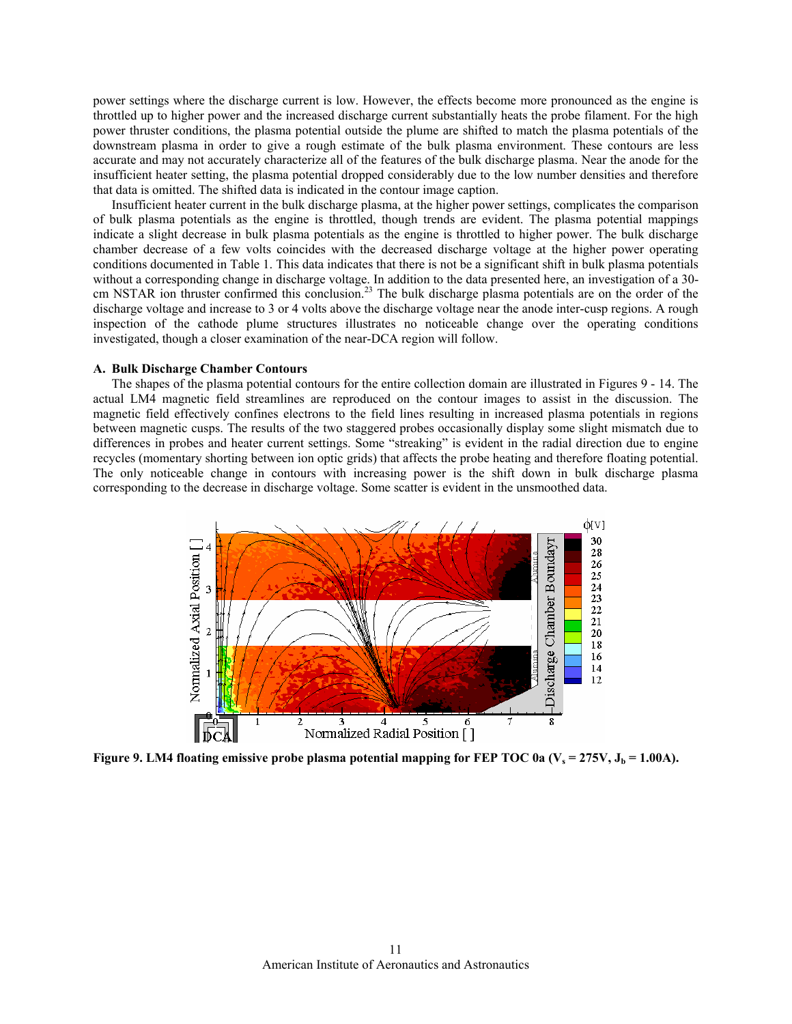power settings where the discharge current is low. However, the effects become more pronounced as the engine is throttled up to higher power and the increased discharge current substantially heats the probe filament. For the high power thruster conditions, the plasma potential outside the plume are shifted to match the plasma potentials of the downstream plasma in order to give a rough estimate of the bulk plasma environment. These contours are less accurate and may not accurately characterize all of the features of the bulk discharge plasma. Near the anode for the insufficient heater setting, the plasma potential dropped considerably due to the low number densities and therefore that data is omitted. The shifted data is indicated in the contour image caption.

Insufficient heater current in the bulk discharge plasma, at the higher power settings, complicates the comparison of bulk plasma potentials as the engine is throttled, though trends are evident. The plasma potential mappings indicate a slight decrease in bulk plasma potentials as the engine is throttled to higher power. The bulk discharge chamber decrease of a few volts coincides with the decreased discharge voltage at the higher power operating conditions documented in Table 1. This data indicates that there is not be a significant shift in bulk plasma potentials without a corresponding change in discharge voltage. In addition to the data presented here, an investigation of a 30 cm NSTAR ion thruster confirmed this conclusion.<sup>23</sup> The bulk discharge plasma potentials are on the order of the discharge voltage and increase to 3 or 4 volts above the discharge voltage near the anode inter-cusp regions. A rough inspection of the cathode plume structures illustrates no noticeable change over the operating conditions investigated, though a closer examination of the near-DCA region will follow.

## **A. Bulk Discharge Chamber Contours**

The shapes of the plasma potential contours for the entire collection domain are illustrated in Figures 9 - 14. The actual LM4 magnetic field streamlines are reproduced on the contour images to assist in the discussion. The magnetic field effectively confines electrons to the field lines resulting in increased plasma potentials in regions between magnetic cusps. The results of the two staggered probes occasionally display some slight mismatch due to differences in probes and heater current settings. Some "streaking" is evident in the radial direction due to engine recycles (momentary shorting between ion optic grids) that affects the probe heating and therefore floating potential. The only noticeable change in contours with increasing power is the shift down in bulk discharge plasma corresponding to the decrease in discharge voltage. Some scatter is evident in the unsmoothed data.



**Figure 9. LM4 floating emissive probe plasma potential mapping for FEP TOC 0a (** $V_s = 275V$ **,**  $J_b = 1.00A$ **).**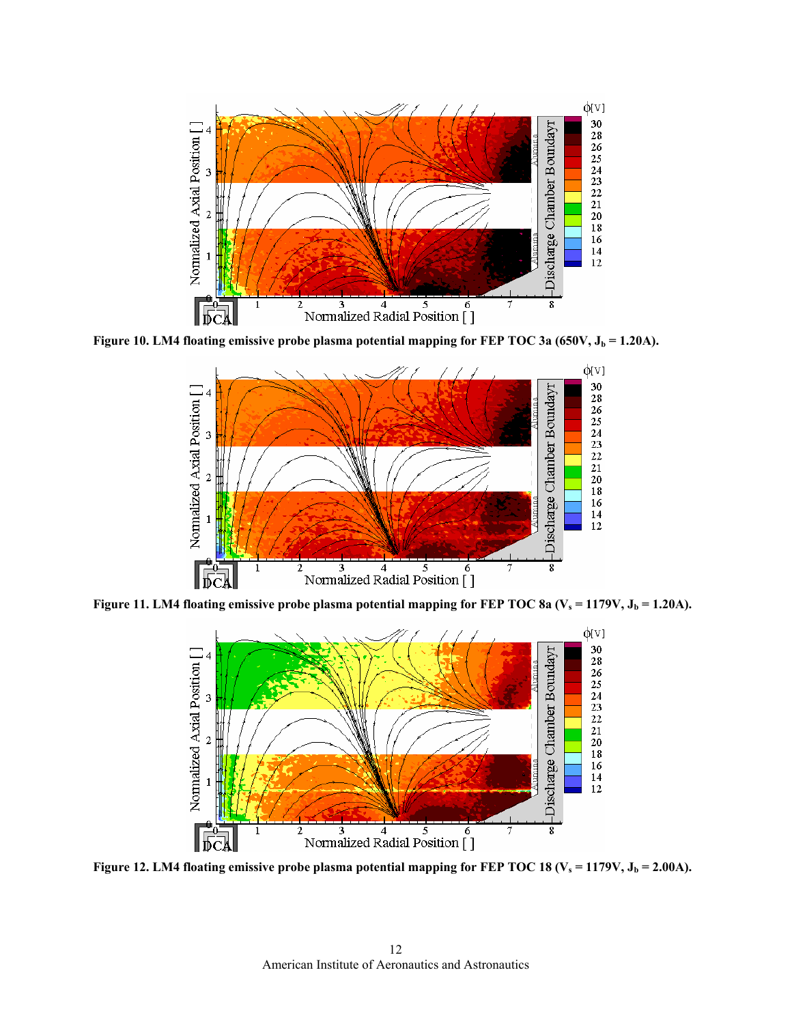

Figure 10. LM4 floating emissive probe plasma potential mapping for FEP TOC 3a (650V, J<sub>b</sub> = 1.20A).



Figure 11. LM4 floating emissive probe plasma potential mapping for FEP TOC 8a ( $V_s = 1179V$ ,  $J_b = 1.20A$ ).



Figure 12. LM4 floating emissive probe plasma potential mapping for FEP TOC 18 ( $V_s = 1179V$ ,  $J_b = 2.00A$ ).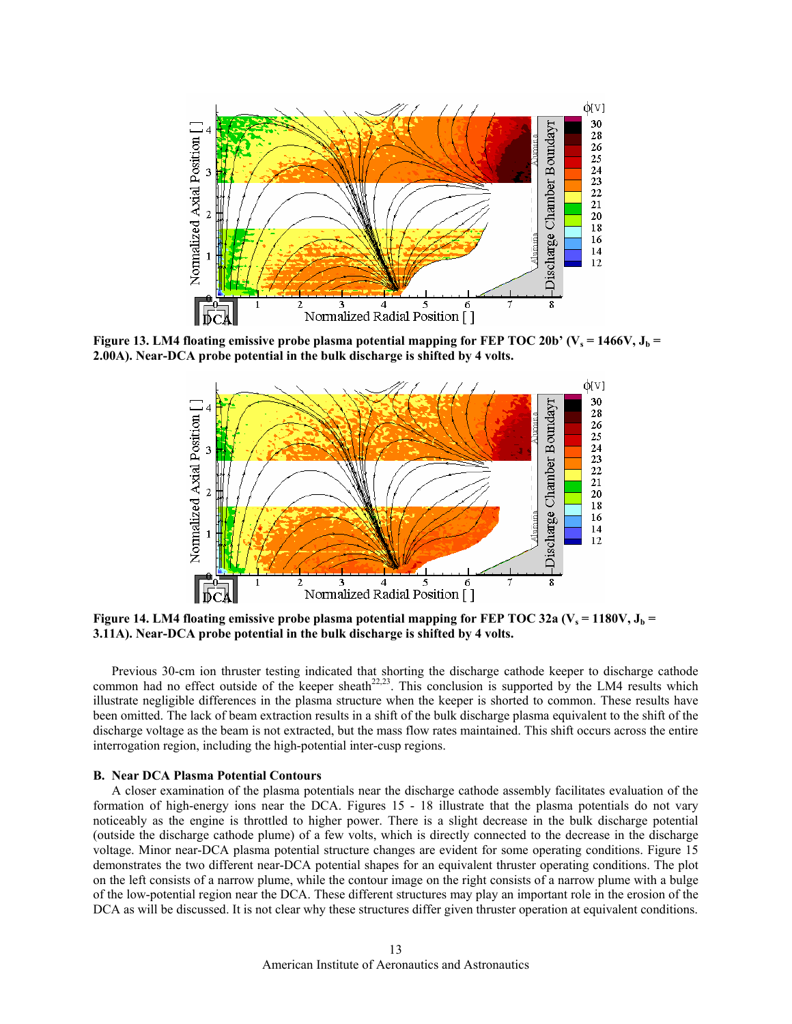

**Figure 13. LM4 floating emissive probe plasma potential mapping for FEP TOC 20b' (V<sub>s</sub> = 1466V, J<sub>b</sub> = 2.00A). Near-DCA probe potential in the bulk discharge is shifted by 4 volts.** 



**Figure 14. LM4 floating emissive probe plasma potential mapping for FEP TOC 32a (** $V_s = 1180V$ **,**  $J_b =$ **3.11A). Near-DCA probe potential in the bulk discharge is shifted by 4 volts.** 

Previous 30-cm ion thruster testing indicated that shorting the discharge cathode keeper to discharge cathode common had no effect outside of the keeper sheath<sup>22,23</sup>. This conclusion is supported by the LM4 results which illustrate negligible differences in the plasma structure when the keeper is shorted to common. These results have been omitted. The lack of beam extraction results in a shift of the bulk discharge plasma equivalent to the shift of the discharge voltage as the beam is not extracted, but the mass flow rates maintained. This shift occurs across the entire interrogation region, including the high-potential inter-cusp regions.

## **B. Near DCA Plasma Potential Contours**

A closer examination of the plasma potentials near the discharge cathode assembly facilitates evaluation of the formation of high-energy ions near the DCA. Figures 15 - 18 illustrate that the plasma potentials do not vary noticeably as the engine is throttled to higher power. There is a slight decrease in the bulk discharge potential (outside the discharge cathode plume) of a few volts, which is directly connected to the decrease in the discharge voltage. Minor near-DCA plasma potential structure changes are evident for some operating conditions. Figure 15 demonstrates the two different near-DCA potential shapes for an equivalent thruster operating conditions. The plot on the left consists of a narrow plume, while the contour image on the right consists of a narrow plume with a bulge of the low-potential region near the DCA. These different structures may play an important role in the erosion of the DCA as will be discussed. It is not clear why these structures differ given thruster operation at equivalent conditions.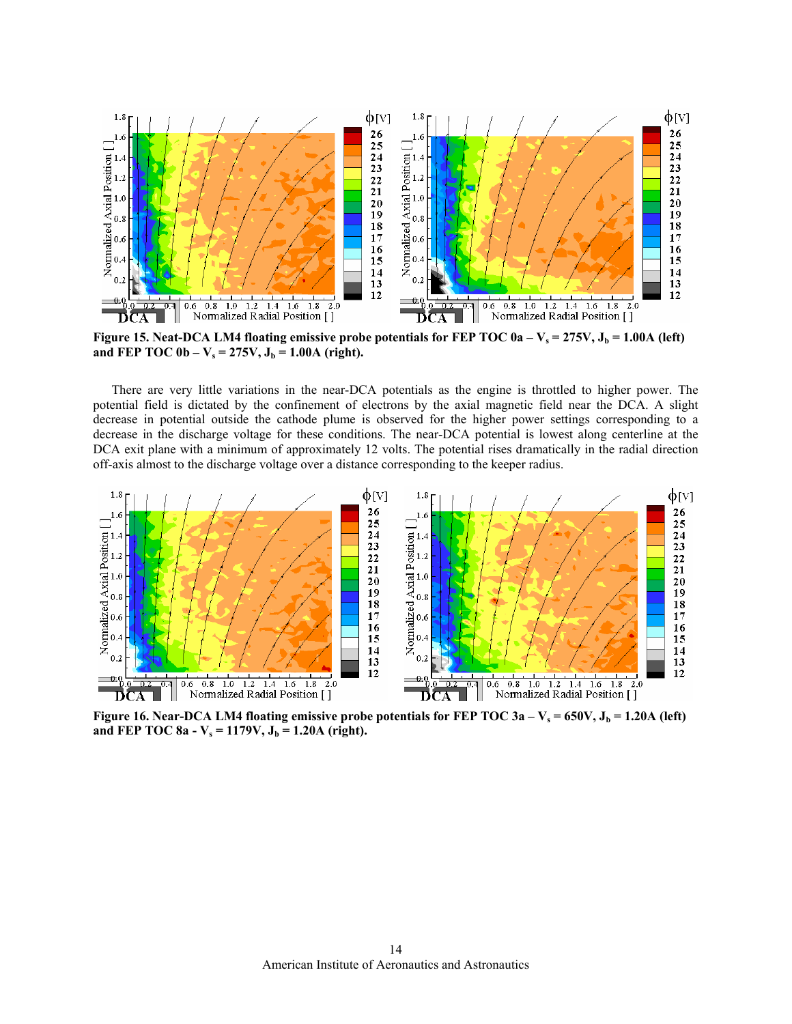

**Figure 15. Neat-DCA LM4 floating emissive probe potentials for FEP TOC 0a –**  $V_s = 275V$ **,**  $J_b = 1.00A$  **(left)** and FEP TOC  $0b - V_s = 275V$ ,  $J_b = 1.00A$  (right).

There are very little variations in the near-DCA potentials as the engine is throttled to higher power. The potential field is dictated by the confinement of electrons by the axial magnetic field near the DCA. A slight decrease in potential outside the cathode plume is observed for the higher power settings corresponding to a decrease in the discharge voltage for these conditions. The near-DCA potential is lowest along centerline at the DCA exit plane with a minimum of approximately 12 volts. The potential rises dramatically in the radial direction off-axis almost to the discharge voltage over a distance corresponding to the keeper radius.



**Figure 16. Near-DCA LM4 floating emissive probe potentials for FEP TOC 3a – V<sub>s</sub> = 650V,**  $J_b$  **= 1.20A (left)** and FEP TOC 8a -  $V_s = 1179V$ ,  $J_b = 1.20A$  (right).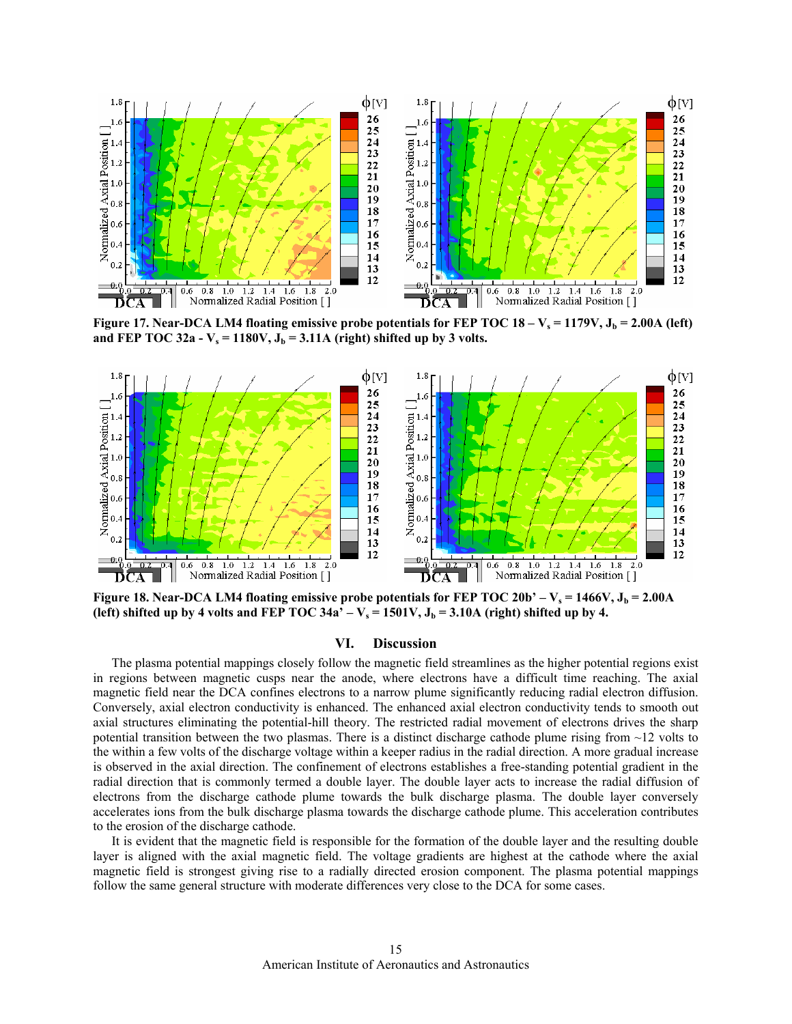

**Figure 17. Near-DCA LM4 floating emissive probe potentials for FEP TOC 18 – V<sub>s</sub> = 1179V,**  $J_b = 2.00A$  **(left)** and FEP TOC 32a -  $V_s = 1180V$ ,  $J_b = 3.11A$  (right) shifted up by 3 volts.



Figure 18. Near-DCA LM4 floating emissive probe potentials for FEP TOC  $20b' - V_s = 1466V$ ,  $J_b = 2.00A$ (left) shifted up by 4 volts and FEP TOC  $34a' - V_s = 1501V$ ,  $J_b = 3.10A$  (right) shifted up by 4.

## **VI. Discussion**

The plasma potential mappings closely follow the magnetic field streamlines as the higher potential regions exist in regions between magnetic cusps near the anode, where electrons have a difficult time reaching. The axial magnetic field near the DCA confines electrons to a narrow plume significantly reducing radial electron diffusion. Conversely, axial electron conductivity is enhanced. The enhanced axial electron conductivity tends to smooth out axial structures eliminating the potential-hill theory. The restricted radial movement of electrons drives the sharp potential transition between the two plasmas. There is a distinct discharge cathode plume rising from ~12 volts to the within a few volts of the discharge voltage within a keeper radius in the radial direction. A more gradual increase is observed in the axial direction. The confinement of electrons establishes a free-standing potential gradient in the radial direction that is commonly termed a double layer. The double layer acts to increase the radial diffusion of electrons from the discharge cathode plume towards the bulk discharge plasma. The double layer conversely accelerates ions from the bulk discharge plasma towards the discharge cathode plume. This acceleration contributes to the erosion of the discharge cathode.

It is evident that the magnetic field is responsible for the formation of the double layer and the resulting double layer is aligned with the axial magnetic field. The voltage gradients are highest at the cathode where the axial magnetic field is strongest giving rise to a radially directed erosion component. The plasma potential mappings follow the same general structure with moderate differences very close to the DCA for some cases.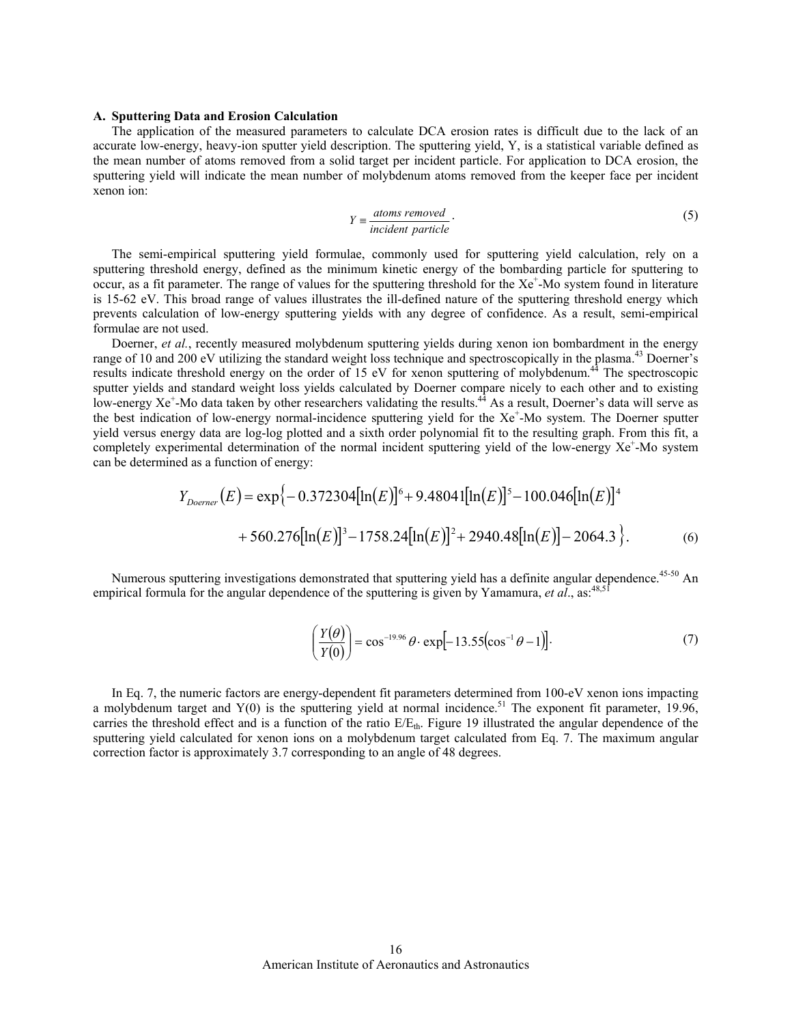#### **A. Sputtering Data and Erosion Calculation**

The application of the measured parameters to calculate DCA erosion rates is difficult due to the lack of an accurate low-energy, heavy-ion sputter yield description. The sputtering yield, Y, is a statistical variable defined as the mean number of atoms removed from a solid target per incident particle. For application to DCA erosion, the sputtering yield will indicate the mean number of molybdenum atoms removed from the keeper face per incident xenon ion:

$$
Y = \frac{atoms\ removed}{incident\ particle}
$$
 (5)

The semi-empirical sputtering yield formulae, commonly used for sputtering yield calculation, rely on a sputtering threshold energy, defined as the minimum kinetic energy of the bombarding particle for sputtering to  $\overline{\text{occur}}$ , as a fit parameter. The range of values for the sputtering threshold for the  $Xe^+$ -Mo system found in literature is 15-62 eV. This broad range of values illustrates the ill-defined nature of the sputtering threshold energy which prevents calculation of low-energy sputtering yields with any degree of confidence. As a result, semi-empirical formulae are not used.

Doerner, *et al.*, recently measured molybdenum sputtering yields during xenon ion bombardment in the energy range of 10 and 200 eV utilizing the standard weight loss technique and spectroscopically in the plasma.<sup>43</sup> Doerner's results indicate threshold energy on the order of 15 eV for xenon sputtering of molybdenum.<sup>44</sup> The spectroscopic sputter yields and standard weight loss yields calculated by Doerner compare nicely to each other and to existing low-energy  $Xe^+$ -Mo data taken by other researchers validating the results.<sup>44</sup> As a result, Doerner's data will serve as the best indication of low-energy normal-incidence sputtering yield for the Xe<sup>+</sup>-Mo system. The Doerner sputter yield versus energy data are log-log plotted and a sixth order polynomial fit to the resulting graph. From this fit, a completely experimental determination of the normal incident sputtering yield of the low-energy  $Xe^{+}$ -Mo system can be determined as a function of energy:

$$
Y_{Doerner}(E) = \exp\{-0.372304[\ln(E)]^6 + 9.48041[\ln(E)]^5 - 100.046[\ln(E)]^4 + 560.276[\ln(E)]^3 - 1758.24[\ln(E)]^2 + 2940.48[\ln(E)] - 2064.3\}.
$$
 (6)

Numerous sputtering investigations demonstrated that sputtering yield has a definite angular dependence.<sup>45-50</sup> An empirical formula for the angular dependence of the sputtering is given by Yamamura, *et al.*, as:<sup>48,51</sup>

$$
\left(\frac{Y(\theta)}{Y(0)}\right) = \cos^{-19.96} \theta \cdot \exp[-13.55(\cos^{-1} \theta - 1)].\tag{7}
$$

In Eq. 7, the numeric factors are energy-dependent fit parameters determined from 100-eV xenon ions impacting a molybdenum target and  $Y(0)$  is the sputtering yield at normal incidence.<sup>51</sup> The exponent fit parameter, 19.96, carries the threshold effect and is a function of the ratio  $E/E<sub>th</sub>$ . Figure 19 illustrated the angular dependence of the sputtering yield calculated for xenon ions on a molybdenum target calculated from Eq. 7. The maximum angular correction factor is approximately 3.7 corresponding to an angle of 48 degrees.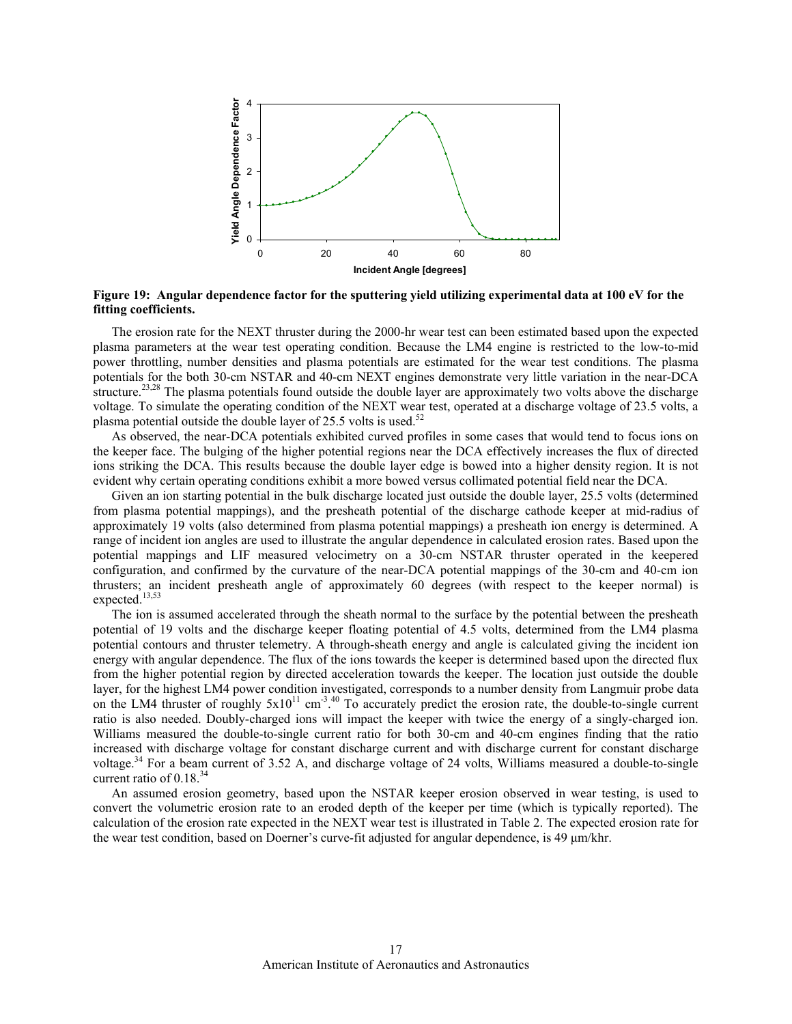

**Figure 19: Angular dependence factor for the sputtering yield utilizing experimental data at 100 eV for the fitting coefficients.** 

The erosion rate for the NEXT thruster during the 2000-hr wear test can been estimated based upon the expected plasma parameters at the wear test operating condition. Because the LM4 engine is restricted to the low-to-mid power throttling, number densities and plasma potentials are estimated for the wear test conditions. The plasma potentials for the both 30-cm NSTAR and 40-cm NEXT engines demonstrate very little variation in the near-DCA structure.<sup>23,28</sup> The plasma potentials found outside the double layer are approximately two volts above the discharge voltage. To simulate the operating condition of the NEXT wear test, operated at a discharge voltage of 23.5 volts, a plasma potential outside the double layer of 25.5 volts is used.<sup>52</sup>

As observed, the near-DCA potentials exhibited curved profiles in some cases that would tend to focus ions on the keeper face. The bulging of the higher potential regions near the DCA effectively increases the flux of directed ions striking the DCA. This results because the double layer edge is bowed into a higher density region. It is not evident why certain operating conditions exhibit a more bowed versus collimated potential field near the DCA.

Given an ion starting potential in the bulk discharge located just outside the double layer, 25.5 volts (determined from plasma potential mappings), and the presheath potential of the discharge cathode keeper at mid-radius of approximately 19 volts (also determined from plasma potential mappings) a presheath ion energy is determined. A range of incident ion angles are used to illustrate the angular dependence in calculated erosion rates. Based upon the potential mappings and LIF measured velocimetry on a 30-cm NSTAR thruster operated in the keepered configuration, and confirmed by the curvature of the near-DCA potential mappings of the 30-cm and 40-cm ion thrusters; an incident presheath angle of approximately 60 degrees (with respect to the keeper normal) is expected.<sup>13,53</sup>

The ion is assumed accelerated through the sheath normal to the surface by the potential between the presheath potential of 19 volts and the discharge keeper floating potential of 4.5 volts, determined from the LM4 plasma potential contours and thruster telemetry. A through-sheath energy and angle is calculated giving the incident ion energy with angular dependence. The flux of the ions towards the keeper is determined based upon the directed flux from the higher potential region by directed acceleration towards the keeper. The location just outside the double layer, for the highest LM4 power condition investigated, corresponds to a number density from Langmuir probe data on the LM4 thruster of roughly  $5x10^{11}$  cm<sup>-3,40</sup> To accurately predict the erosion rate, the double-to-single current ratio is also needed. Doubly-charged ions will impact the keeper with twice the energy of a singly-charged ion. Williams measured the double-to-single current ratio for both 30-cm and 40-cm engines finding that the ratio increased with discharge voltage for constant discharge current and with discharge current for constant discharge voltage.<sup>34</sup> For a beam current of 3.52 A, and discharge voltage of 24 volts, Williams measured a double-to-single current ratio of  $0.18^{34}$ 

An assumed erosion geometry, based upon the NSTAR keeper erosion observed in wear testing, is used to convert the volumetric erosion rate to an eroded depth of the keeper per time (which is typically reported). The calculation of the erosion rate expected in the NEXT wear test is illustrated in Table 2. The expected erosion rate for the wear test condition, based on Doerner's curve-fit adjusted for angular dependence, is 49 µm/khr.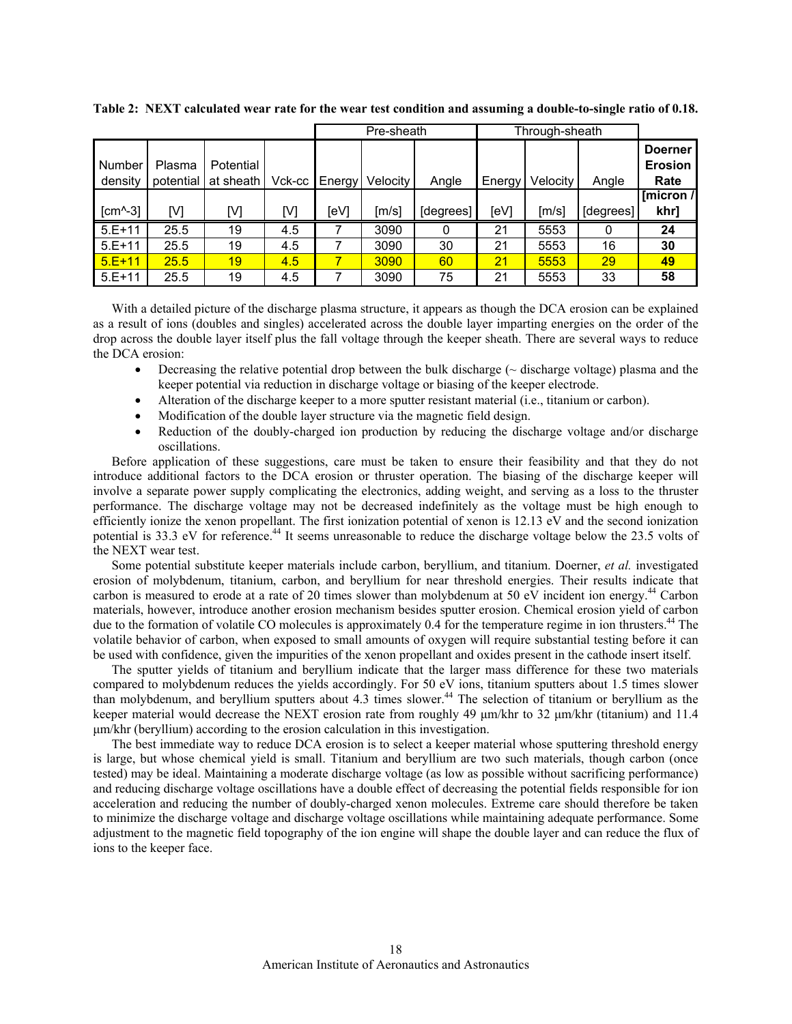|             |           |           |        |         | Pre-sheath      |           | Through-sheath |          |           |                                  |
|-------------|-----------|-----------|--------|---------|-----------------|-----------|----------------|----------|-----------|----------------------------------|
| Number      | Plasma    | Potential |        |         |                 |           |                |          |           | <b>Doerner</b><br><b>Erosion</b> |
| density     | potential | at sheath | Vck-cc | Energy! | <b>Velocity</b> | Angle     | Energy         | Velocity | Angle     | Rate                             |
|             |           |           |        |         |                 |           |                |          |           | [micron /                        |
| $[cm^{-2}]$ | [V]       | [V]       | [V]    | [eV]    | [m/s]           | [degrees] | [eV]           | [m/s]    | [degrees] | khr]                             |
| $5.E+11$    | 25.5      | 19        | 4.5    |         | 3090            | 0         | 21             | 5553     | 0         | 24                               |
| $5.E+11$    | 25.5      | 19        | 4.5    |         | 3090            | 30        | 21             | 5553     | 16        | 30                               |
| $5.E+11$    | 25.5      | 19        | 4.5    |         | 3090            | 60        | 21             | 5553     | 29        | 49                               |
| $5.E+11$    | 25.5      | 19        | 4.5    |         | 3090            | 75        | 21             | 5553     | 33        | 58                               |

**Table 2: NEXT calculated wear rate for the wear test condition and assuming a double-to-single ratio of 0.18.** 

With a detailed picture of the discharge plasma structure, it appears as though the DCA erosion can be explained as a result of ions (doubles and singles) accelerated across the double layer imparting energies on the order of the drop across the double layer itself plus the fall voltage through the keeper sheath. There are several ways to reduce the DCA erosion:

- Decreasing the relative potential drop between the bulk discharge  $(\sim$  discharge voltage) plasma and the keeper potential via reduction in discharge voltage or biasing of the keeper electrode.
- Alteration of the discharge keeper to a more sputter resistant material (i.e., titanium or carbon).
- Modification of the double layer structure via the magnetic field design.
- Reduction of the doubly-charged ion production by reducing the discharge voltage and/or discharge oscillations.

Before application of these suggestions, care must be taken to ensure their feasibility and that they do not introduce additional factors to the DCA erosion or thruster operation. The biasing of the discharge keeper will involve a separate power supply complicating the electronics, adding weight, and serving as a loss to the thruster performance. The discharge voltage may not be decreased indefinitely as the voltage must be high enough to efficiently ionize the xenon propellant. The first ionization potential of xenon is 12.13 eV and the second ionization potential is 33.3 eV for reference.<sup>44</sup> It seems unreasonable to reduce the discharge voltage below the 23.5 volts of the NEXT wear test.

Some potential substitute keeper materials include carbon, beryllium, and titanium. Doerner, *et al.* investigated erosion of molybdenum, titanium, carbon, and beryllium for near threshold energies. Their results indicate that carbon is measured to erode at a rate of 20 times slower than molybdenum at 50 eV incident ion energy.<sup>44</sup> Carbon materials, however, introduce another erosion mechanism besides sputter erosion. Chemical erosion yield of carbon due to the formation of volatile CO molecules is approximately 0.4 for the temperature regime in ion thrusters.<sup>44</sup> The volatile behavior of carbon, when exposed to small amounts of oxygen will require substantial testing before it can be used with confidence, given the impurities of the xenon propellant and oxides present in the cathode insert itself.

The sputter yields of titanium and beryllium indicate that the larger mass difference for these two materials compared to molybdenum reduces the yields accordingly. For 50 eV ions, titanium sputters about 1.5 times slower than molybdenum, and beryllium sputters about 4.3 times slower.<sup>44</sup> The selection of titanium or beryllium as the keeper material would decrease the NEXT erosion rate from roughly 49  $\mu$ m/khr to 32  $\mu$ m/khr (titanium) and 11.4 µm/khr (beryllium) according to the erosion calculation in this investigation.

The best immediate way to reduce DCA erosion is to select a keeper material whose sputtering threshold energy is large, but whose chemical yield is small. Titanium and beryllium are two such materials, though carbon (once tested) may be ideal. Maintaining a moderate discharge voltage (as low as possible without sacrificing performance) and reducing discharge voltage oscillations have a double effect of decreasing the potential fields responsible for ion acceleration and reducing the number of doubly-charged xenon molecules. Extreme care should therefore be taken to minimize the discharge voltage and discharge voltage oscillations while maintaining adequate performance. Some adjustment to the magnetic field topography of the ion engine will shape the double layer and can reduce the flux of ions to the keeper face.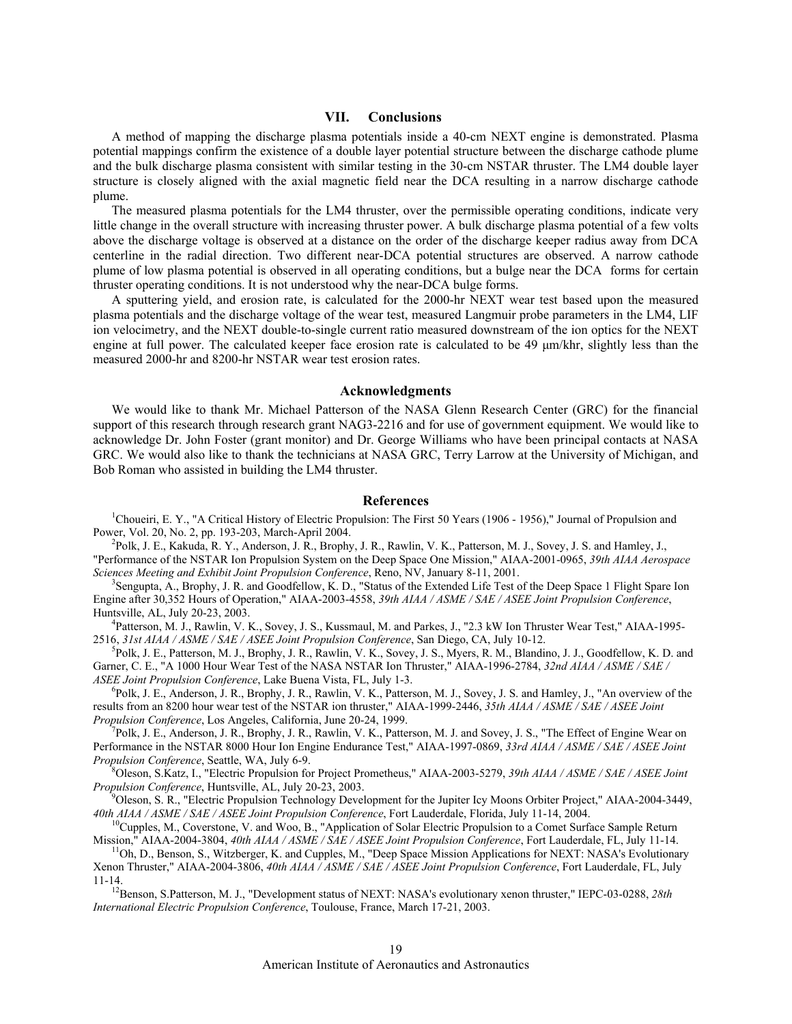# **VII. Conclusions**

A method of mapping the discharge plasma potentials inside a 40-cm NEXT engine is demonstrated. Plasma potential mappings confirm the existence of a double layer potential structure between the discharge cathode plume and the bulk discharge plasma consistent with similar testing in the 30-cm NSTAR thruster. The LM4 double layer structure is closely aligned with the axial magnetic field near the DCA resulting in a narrow discharge cathode plume.

The measured plasma potentials for the LM4 thruster, over the permissible operating conditions, indicate very little change in the overall structure with increasing thruster power. A bulk discharge plasma potential of a few volts above the discharge voltage is observed at a distance on the order of the discharge keeper radius away from DCA centerline in the radial direction. Two different near-DCA potential structures are observed. A narrow cathode plume of low plasma potential is observed in all operating conditions, but a bulge near the DCA forms for certain thruster operating conditions. It is not understood why the near-DCA bulge forms.

A sputtering yield, and erosion rate, is calculated for the 2000-hr NEXT wear test based upon the measured plasma potentials and the discharge voltage of the wear test, measured Langmuir probe parameters in the LM4, LIF ion velocimetry, and the NEXT double-to-single current ratio measured downstream of the ion optics for the NEXT engine at full power. The calculated keeper face erosion rate is calculated to be 49  $\mu$ m/khr, slightly less than the measured 2000-hr and 8200-hr NSTAR wear test erosion rates.

## **Acknowledgments**

We would like to thank Mr. Michael Patterson of the NASA Glenn Research Center (GRC) for the financial support of this research through research grant NAG3-2216 and for use of government equipment. We would like to acknowledge Dr. John Foster (grant monitor) and Dr. George Williams who have been principal contacts at NASA GRC. We would also like to thank the technicians at NASA GRC, Terry Larrow at the University of Michigan, and Bob Roman who assisted in building the LM4 thruster.

## **References**

<sup>1</sup>Choueiri, E. Y., "A Critical History of Electric Propulsion: The First 50 Years (1906 - 1956)," Journal of Propulsion and Power, Vol. 20, No. 2, pp. 193-203, March-April 2004. 2

 $P$ Olk, J. E., Kakuda, R. Y., Anderson, J. R., Brophy, J. R., Rawlin, V. K., Patterson, M. J., Sovey, J. S. and Hamley, J., "Performance of the NSTAR Ion Propulsion System on the Deep Space One Mission," AIAA-2001-0965, *39th AIAA Aerospace Sciences Meeting and Exhibit Joint Propulsion Conference*, Reno, NV, January 8-11, 2001.

Sengupta, A., Brophy, J. R. and Goodfellow, K. D., "Status of the Extended Life Test of the Deep Space 1 Flight Spare Ion Engine after 30,352 Hours of Operation," AIAA-2003-4558, *39th AIAA / ASME / SAE / ASEE Joint Propulsion Conference*, Huntsville, AL, July 20-23, 2003. 4

Patterson, M. J., Rawlin, V. K., Sovey, J. S., Kussmaul, M. and Parkes, J., "2.3 kW Ion Thruster Wear Test," AIAA-1995- 2516, *31st AIAA / ASME / SAE / ASEE Joint Propulsion Conference*, San Diego, CA, July 10-12. 5

Polk, J. E., Patterson, M. J., Brophy, J. R., Rawlin, V. K., Sovey, J. S., Myers, R. M., Blandino, J. J., Goodfellow, K. D. and Garner, C. E., "A 1000 Hour Wear Test of the NASA NSTAR Ion Thruster," AIAA-1996-2784, *32nd AIAA / ASME / SAE / ASEE Joint Propulsion Conference*, Lake Buena Vista, FL, July 1-3. 6

 ${}^6P$ olk, J. E., Anderson, J. R., Brophy, J. R., Rawlin, V. K., Patterson, M. J., Sovey, J. S. and Hamley, J., "An overview of the results from an 8200 hour wear test of the NSTAR ion thruster," AIAA-1999-2446, *35th AIAA / ASME / SAE / ASEE Joint Propulsion Conference*, Los Angeles, California, June 20-24, 1999.

Polk, J. E., Anderson, J. R., Brophy, J. R., Rawlin, V. K., Patterson, M. J. and Sovey, J. S., "The Effect of Engine Wear on Performance in the NSTAR 8000 Hour Ion Engine Endurance Test," AIAA-1997-0869, *33rd AIAA / ASME / SAE / ASEE Joint Propulsion Conference*, Seattle, WA, July 6-9.

Oleson, S.Katz, I., "Electric Propulsion for Project Prometheus," AIAA-2003-5279, *39th AIAA / ASME / SAE / ASEE Joint Propulsion Conference*, Huntsville, AL, July 20-23, 2003.

Oleson, S. R., "Electric Propulsion Technology Development for the Jupiter Icy Moons Orbiter Project," AIAA-2004-3449,

40th AIAA / ASME / SAE / ASEE Joint Propulsion Conference, Fort Lauderdale, Florida, July 11-14, 2004.<br><sup>10</sup>Cupples, M., Coverstone, V. and Woo, B., "Application of Solar Electric Propulsion to a Comet Surface Sample Return

<sup>11</sup>Oh, D., Benson, S., Witzberger, K. and Cupples, M., "Deep Space Mission Applications for NEXT: NASA's Evolutionary Xenon Thruster," AIAA-2004-3806, *40th AIAA / ASME / SAE / ASEE Joint Propulsion Conference*, Fort Lauderdale, FL, July

11-14. 12Benson, S.Patterson, M. J., "Development status of NEXT: NASA's evolutionary xenon thruster," IEPC-03-0288, *28th International Electric Propulsion Conference*, Toulouse, France, March 17-21, 2003.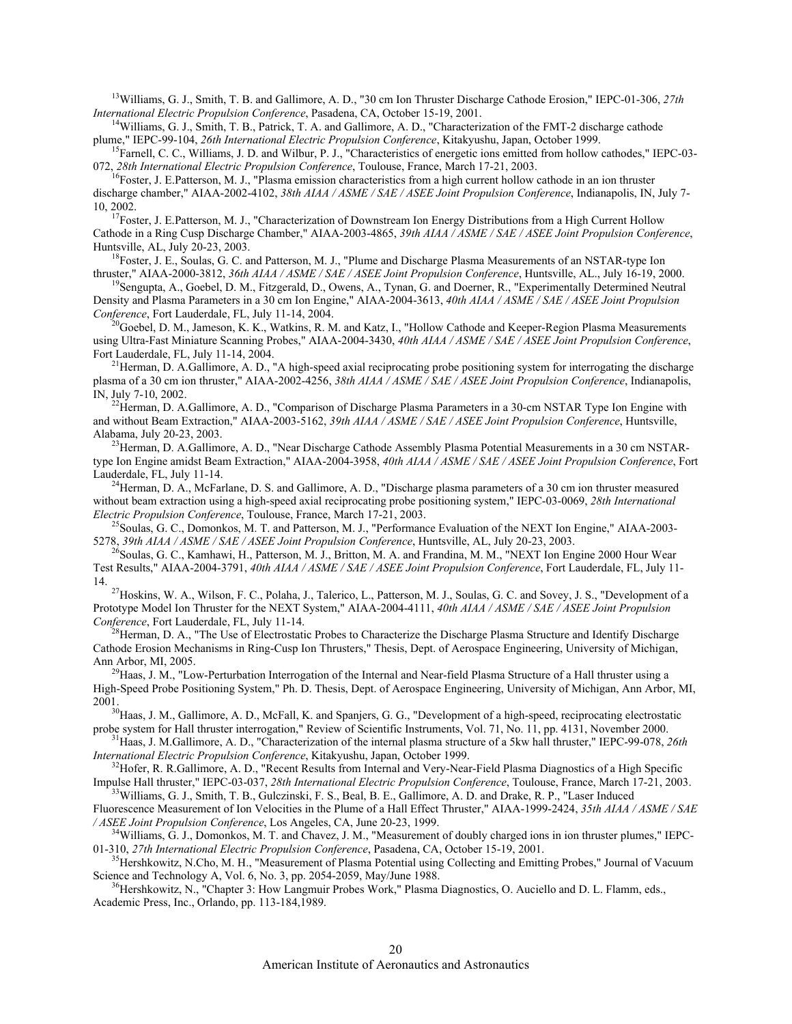<sup>13</sup>Williams, G. J., Smith, T. B. and Gallimore, A. D., "30 cm Ion Thruster Discharge Cathode Erosion," IEPC-01-306, 27th *International Electric Propulsion Conference*, Pasadena, CA, October 15-19, 2001.

<sup>14</sup>Williams, G. J., Smith, T. B., Patrick, T. A. and Gallimore, A. D., "Characterization of the FMT-2 discharge cathode plume," IEPC-99-104, 26th International Electric Propulsion Conference, Kitakyushu, Japan, October 1999.<br><sup>15</sup>Farnell, C. C., Williams, J. D. and Wilbur, P. J., "Characteristics of energetic ions emitted from hollow cathode

072, 28th International Electric Propulsion Conference, Toulouse, France, March 17-21, 2003.<br><sup>16</sup>Foster, J. E.Patterson, M. J., "Plasma emission characteristics from a high current hollow cathode in an ion thruster

discharge chamber," AIAA-2002-4102, *38th AIAA / ASME / SAE / ASEE Joint Propulsion Conference*, Indianapolis, IN, July 7- 10, 2002.<br><sup>17</sup>Foster, J. E.Patterson, M. J., "Characterization of Downstream Ion Energy Distributions from a High Current Hollow

Cathode in a Ring Cusp Discharge Chamber," AIAA-2003-4865, *39th AIAA / ASME / SAE / ASEE Joint Propulsion Conference*, Huntsville, AL, July 20-23, 2003.<br><sup>18</sup>Foster, J. E., Soulas, G. C. and Patterson, M. J., "Plume and Discharge Plasma Measurements of an NSTAR-type Ion

thruster," AIAA-2000-3812, 36th AIAA / ASME / SAE / ASEE Joint Propulsion Conference, Huntsville, AL., July 16-19, 2000.<br><sup>19</sup>Sengupta, A., Goebel, D. M., Fitzgerald, D., Owens, A., Tynan, G. and Doerner, R., "Experimentall

Density and Plasma Parameters in a 30 cm Ion Engine," AIAA-2004-3613, 40th AIAA / ASME / SAE / ASEE Joint Propulsion Conference, Fort Lauderdale, FL, July 11-14, 2004.

<sup>2</sup>Goebel, D. M., Jameson, K. K., Watkins, R. M. and Katz, I., "Hollow Cathode and Keeper-Region Plasma Measurements using Ultra-Fast Miniature Scanning Probes," AIAA-2004-3430, *40th AIAA / ASME / SAE / ASEE Joint Propulsion Conference*,

Fort Lauderdale, FL, July 11-14, 2004.<br><sup>21</sup>Herman, D. A.Gallimore, A. D., "A high-speed axial reciprocating probe positioning system for interrogating the discharge plasma of a 30 cm ion thruster," AIAA-2002-4256, *38th AIAA / ASME / SAE / ASEE Joint Propulsion Conference*, Indianapolis, IN, July 7-10, 2002. 22Herman, D. A.Gallimore, A. D., "Comparison of Discharge Plasma Parameters in a 30-cm NSTAR Type Ion Engine with

and without Beam Extraction," AIAA-2003-5162, *39th AIAA / ASME / SAE / ASEE Joint Propulsion Conference*, Huntsville, Alabama, July 20-23, 2003. 23Herman, D. A.Gallimore, A. D., "Near Discharge Cathode Assembly Plasma Potential Measurements in a 30 cm NSTAR-

type Ion Engine amidst Beam Extraction," AIAA-2004-3958, *40th AIAA / ASME / SAE / ASEE Joint Propulsion Conference*, Fort Lauderdale, FL, July 11-14.<br><sup>24</sup>Herman, D. A., McFarlane, D. S. and Gallimore, A. D., "Discharge plasma parameters of a 30 cm ion thruster measured

without beam extraction using a high-speed axial reciprocating probe positioning system," IEPC-03-0069, *28th International* 

*Electric Propulsion Conference*, Toulouse, France, March 17-21, 2003.<br><sup>25</sup>Soulas, G. C., Domonkos, M. T. and Patterson, M. J., "Performance Evaluation of the NEXT Ion Engine," AIAA-2003-<br>5278, 39th AIAA / ASME / SAE / ASE

<sup>26</sup>Soulas, G. C., Kamhawi, H., Patterson, M. J., Britton, M. A. and Frandina, M. M., "NEXT Ion Engine 2000 Hour Wear Test Results," AIAA-2004-3791, *40th AIAA / ASME / SAE / ASEE Joint Propulsion Conference*, Fort Lauderdale, FL, July 11-

14. 27Hoskins, W. A., Wilson, F. C., Polaha, J., Talerico, L., Patterson, M. J., Soulas, G. C. and Sovey, J. S., "Development of a Prototype Model Ion Thruster for the NEXT System," AIAA-2004-4111, *40th AIAA / ASME / SAE / ASEE Joint Propulsion* 

*Conference*, Fort Lauderdale, FL, July 11-14.<br><sup>28</sup>Herman, D. A., "The Use of Electrostatic Probes to Characterize the Discharge Plasma Structure and Identify Discharge Cathode Erosion Mechanisms in Ring-Cusp Ion Thrusters," Thesis, Dept. of Aerospace Engineering, University of Michigan, Ann Arbor, MI, 2005.<br><sup>29</sup>Haas, J. M., "Low-Perturbation Interrogation of the Internal and Near-field Plasma Structure of a Hall thruster using a

High-Speed Probe Positioning System," Ph. D. Thesis, Dept. of Aerospace Engineering, University of Michigan, Ann Arbor, MI, 2001.<br><sup>30</sup>Haas, J. M., Gallimore, A. D., McFall, K. and Spanjers, G. G., "Development of a high-speed, reciprocating electrostatic

probe system for Hall thruster interrogation," Review of Scientific Instruments, Vol. 71, No. 11, pp. 4131, November 2000.<br><sup>31</sup>Haas, J. M.Gallimore, A. D., "Characterization of the internal plasma structure of a 5kw hall t

*International Electric Propulsion Conference*, Kitakyushu, Japan, October 1999.<br><sup>32</sup>Hofer, R. R.Gallimore, A. D., "Recent Results from Internal and Very-Near-Field Plasma Diagnostics of a High Specific

Impulse Hall thruster," IEPC-03-037, 28th International Electric Propulsion Conference, Toulouse, France, March 17-21, 2003.<br><sup>33</sup>Williams, G. J., Smith, T. B., Gulczinski, F. S., Beal, B. E., Gallimore, A. D. and Drake, R.

Fluorescence Measurement of Ion Velocities in the Plume of a Hall Effect Thruster," AIAA-1999-2424, *35th AIAA / ASME / SAE / ASEE Joint Propulsion Conference*, Los Angeles, CA, June 20-23, 1999. 34Williams, G. J., Domonkos, M. T. and Chavez, J. M., "Measurement of doubly charged ions in ion thruster plumes," IEPC-

01-310, *27th International Electric Propulsion Conference*, Pasadena, CA, October 15-19, 2001.<br><sup>35</sup>Hershkowitz, N.Cho, M. H., "Measurement of Plasma Potential using Collecting and Emitting Probes," Journal of Vacuum<br>Scien

<sup>36</sup>Hershkowitz, N., "Chapter 3: How Langmuir Probes Work," Plasma Diagnostics, O. Auciello and D. L. Flamm, eds., Academic Press, Inc., Orlando, pp. 113-184,1989.